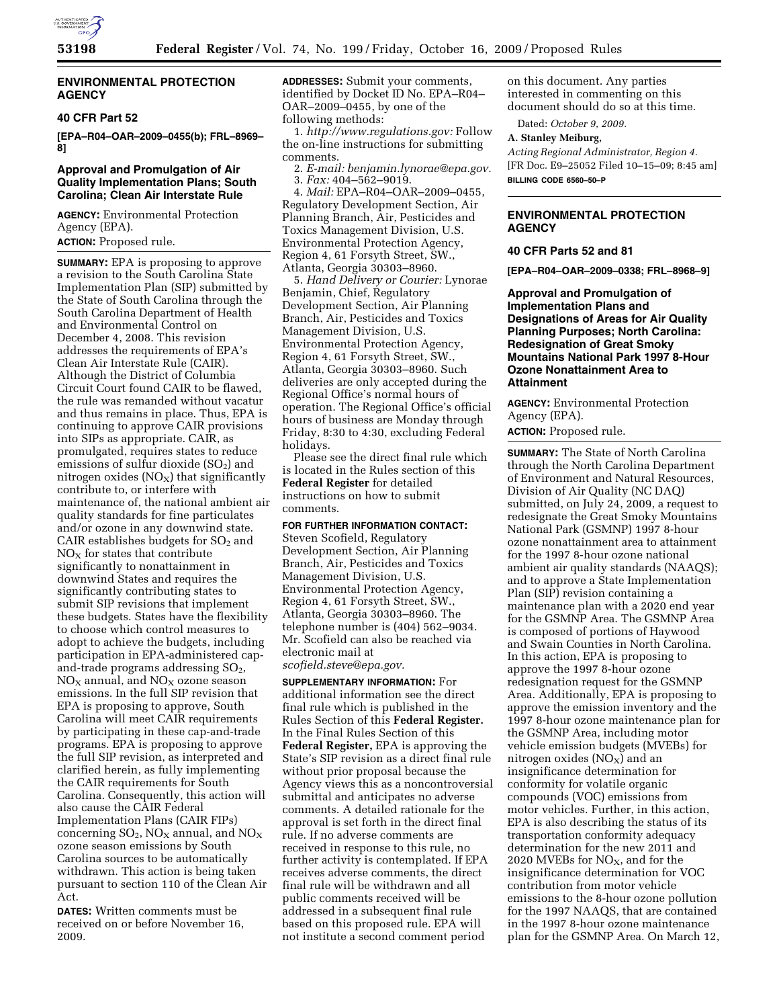

# **ENVIRONMENTAL PROTECTION AGENCY**

### **40 CFR Part 52**

**[EPA–R04–OAR–2009–0455(b); FRL–8969– 8]** 

# **Approval and Promulgation of Air Quality Implementation Plans; South Carolina; Clean Air Interstate Rule**

**AGENCY:** Environmental Protection Agency (EPA).

**ACTION:** Proposed rule.

**SUMMARY:** EPA is proposing to approve a revision to the South Carolina State Implementation Plan (SIP) submitted by the State of South Carolina through the South Carolina Department of Health and Environmental Control on December 4, 2008. This revision addresses the requirements of EPA's Clean Air Interstate Rule (CAIR). Although the District of Columbia Circuit Court found CAIR to be flawed, the rule was remanded without vacatur and thus remains in place. Thus, EPA is continuing to approve CAIR provisions into SIPs as appropriate. CAIR, as promulgated, requires states to reduce emissions of sulfur dioxide  $(SO<sub>2</sub>)$  and nitrogen oxides  $(NO<sub>X</sub>)$  that significantly contribute to, or interfere with maintenance of, the national ambient air quality standards for fine particulates and/or ozone in any downwind state. CAIR establishes budgets for  $SO<sub>2</sub>$  and  $NO<sub>x</sub>$  for states that contribute significantly to nonattainment in downwind States and requires the significantly contributing states to submit SIP revisions that implement these budgets. States have the flexibility to choose which control measures to adopt to achieve the budgets, including participation in EPA-administered capand-trade programs addressing  $SO<sub>2</sub>$ ,  $NO<sub>x</sub>$  annual, and  $NO<sub>x</sub>$  ozone season emissions. In the full SIP revision that EPA is proposing to approve, South Carolina will meet CAIR requirements by participating in these cap-and-trade programs. EPA is proposing to approve the full SIP revision, as interpreted and clarified herein, as fully implementing the CAIR requirements for South Carolina. Consequently, this action will also cause the CAIR Federal Implementation Plans (CAIR FIPs) concerning  $SO_2$ ,  $NO_X$  annual, and  $NO_X$ ozone season emissions by South Carolina sources to be automatically withdrawn. This action is being taken pursuant to section 110 of the Clean Air Act.

**DATES:** Written comments must be received on or before November 16, 2009.

**ADDRESSES:** Submit your comments, identified by Docket ID No. EPA–R04– OAR–2009–0455, by one of the following methods:

1. *http://www.regulations.gov:* Follow the on-line instructions for submitting comments.

2. *E-mail: benjamin.lynorae@epa.gov.*  3. *Fax:* 404–562–9019.

4. *Mail:* EPA–R04–OAR–2009–0455, Regulatory Development Section, Air Planning Branch, Air, Pesticides and Toxics Management Division, U.S. Environmental Protection Agency, Region 4, 61 Forsyth Street, SW., Atlanta, Georgia 30303–8960.

5. *Hand Delivery or Courier:* Lynorae Benjamin, Chief, Regulatory Development Section, Air Planning Branch, Air, Pesticides and Toxics Management Division, U.S. Environmental Protection Agency, Region 4, 61 Forsyth Street, SW., Atlanta, Georgia 30303–8960. Such deliveries are only accepted during the Regional Office's normal hours of operation. The Regional Office's official hours of business are Monday through Friday, 8:30 to 4:30, excluding Federal holidays.

Please see the direct final rule which is located in the Rules section of this **Federal Register** for detailed instructions on how to submit comments.

# **FOR FURTHER INFORMATION CONTACT:**

Steven Scofield, Regulatory Development Section, Air Planning Branch, Air, Pesticides and Toxics Management Division, U.S. Environmental Protection Agency, Region 4, 61 Forsyth Street, SW., Atlanta, Georgia 30303–8960. The telephone number is (404) 562–9034. Mr. Scofield can also be reached via electronic mail at *scofield.steve@epa.gov.* 

**SUPPLEMENTARY INFORMATION:** For additional information see the direct final rule which is published in the Rules Section of this **Federal Register.**  In the Final Rules Section of this **Federal Register,** EPA is approving the State's SIP revision as a direct final rule without prior proposal because the Agency views this as a noncontroversial submittal and anticipates no adverse comments. A detailed rationale for the approval is set forth in the direct final rule. If no adverse comments are received in response to this rule, no further activity is contemplated. If EPA receives adverse comments, the direct final rule will be withdrawn and all public comments received will be addressed in a subsequent final rule based on this proposed rule. EPA will not institute a second comment period

on this document. Any parties interested in commenting on this document should do so at this time.

Dated: *October 9, 2009.* 

# **A. Stanley Meiburg,**

*Acting Regional Administrator, Region 4.*  [FR Doc. E9–25052 Filed 10–15–09; 8:45 am] **BILLING CODE 6560–50–P** 

# **ENVIRONMENTAL PROTECTION AGENCY**

#### **40 CFR Parts 52 and 81**

**[EPA–R04–OAR–2009–0338; FRL–8968–9]** 

**Approval and Promulgation of Implementation Plans and Designations of Areas for Air Quality Planning Purposes; North Carolina: Redesignation of Great Smoky Mountains National Park 1997 8-Hour Ozone Nonattainment Area to Attainment** 

**AGENCY:** Environmental Protection Agency (EPA).

**ACTION:** Proposed rule.

**SUMMARY:** The State of North Carolina through the North Carolina Department of Environment and Natural Resources, Division of Air Quality (NC DAQ) submitted, on July 24, 2009, a request to redesignate the Great Smoky Mountains National Park (GSMNP) 1997 8-hour ozone nonattainment area to attainment for the 1997 8-hour ozone national ambient air quality standards (NAAQS); and to approve a State Implementation Plan (SIP) revision containing a maintenance plan with a 2020 end year for the GSMNP Area. The GSMNP Area is composed of portions of Haywood and Swain Counties in North Carolina. In this action, EPA is proposing to approve the 1997 8-hour ozone redesignation request for the GSMNP Area. Additionally, EPA is proposing to approve the emission inventory and the 1997 8-hour ozone maintenance plan for the GSMNP Area, including motor vehicle emission budgets (MVEBs) for nitrogen oxides  $(NO<sub>X</sub>)$  and an insignificance determination for conformity for volatile organic compounds (VOC) emissions from motor vehicles. Further, in this action, EPA is also describing the status of its transportation conformity adequacy determination for the new 2011 and 2020 MVEBs for  $NO<sub>X</sub>$ , and for the insignificance determination for VOC contribution from motor vehicle emissions to the 8-hour ozone pollution for the 1997 NAAQS, that are contained in the 1997 8-hour ozone maintenance plan for the GSMNP Area. On March 12,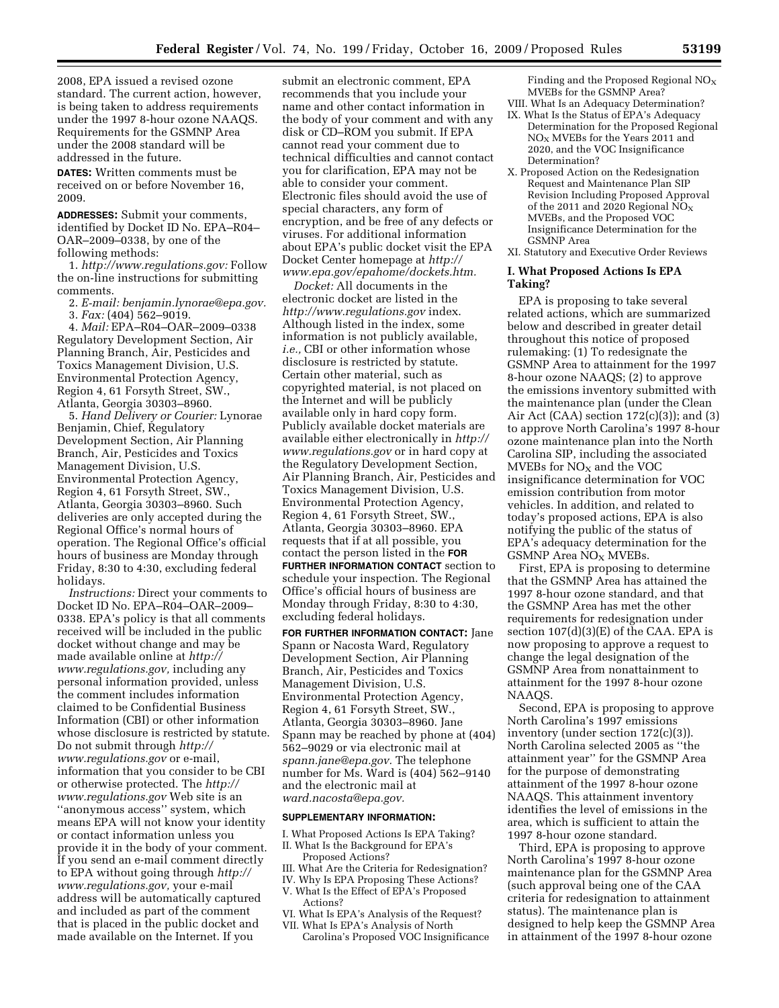2008, EPA issued a revised ozone standard. The current action, however, is being taken to address requirements under the 1997 8-hour ozone NAAQS. Requirements for the GSMNP Area under the 2008 standard will be addressed in the future.

**DATES:** Written comments must be received on or before November 16, 2009.

**ADDRESSES:** Submit your comments, identified by Docket ID No. EPA–R04– OAR–2009–0338, by one of the following methods:

1. *http://www.regulations.gov:* Follow the on-line instructions for submitting comments.

- 2. *E-mail: benjamin.lynorae@epa.gov.*
- 3. *Fax:* (404) 562–9019.

4. *Mail:* EPA–R04–OAR–2009–0338 Regulatory Development Section, Air Planning Branch, Air, Pesticides and Toxics Management Division, U.S. Environmental Protection Agency, Region 4, 61 Forsyth Street, SW., Atlanta, Georgia 30303–8960.

5. *Hand Delivery or Courier:* Lynorae Benjamin, Chief, Regulatory Development Section, Air Planning Branch, Air, Pesticides and Toxics Management Division, U.S. Environmental Protection Agency, Region 4, 61 Forsyth Street, SW., Atlanta, Georgia 30303–8960. Such deliveries are only accepted during the Regional Office's normal hours of operation. The Regional Office's official hours of business are Monday through Friday, 8:30 to 4:30, excluding federal holidays.

*Instructions:* Direct your comments to Docket ID No. EPA–R04–OAR–2009– 0338. EPA's policy is that all comments received will be included in the public docket without change and may be made available online at *http:// www.regulations.gov,* including any personal information provided, unless the comment includes information claimed to be Confidential Business Information (CBI) or other information whose disclosure is restricted by statute. Do not submit through *http:// www.regulations.gov* or e-mail, information that you consider to be CBI or otherwise protected. The *http:// www.regulations.gov* Web site is an ''anonymous access'' system, which means EPA will not know your identity or contact information unless you provide it in the body of your comment. If you send an e-mail comment directly to EPA without going through *http:// www.regulations.gov,* your e-mail address will be automatically captured and included as part of the comment that is placed in the public docket and made available on the Internet. If you

submit an electronic comment, EPA recommends that you include your name and other contact information in the body of your comment and with any disk or CD–ROM you submit. If EPA cannot read your comment due to technical difficulties and cannot contact you for clarification, EPA may not be able to consider your comment. Electronic files should avoid the use of special characters, any form of encryption, and be free of any defects or viruses. For additional information about EPA's public docket visit the EPA Docket Center homepage at *http:// www.epa.gov/epahome/dockets.htm.* 

*Docket:* All documents in the electronic docket are listed in the *http://www.regulations.gov* index. Although listed in the index, some information is not publicly available, *i.e.,* CBI or other information whose disclosure is restricted by statute. Certain other material, such as copyrighted material, is not placed on the Internet and will be publicly available only in hard copy form. Publicly available docket materials are available either electronically in *http:// www.regulations.gov* or in hard copy at the Regulatory Development Section, Air Planning Branch, Air, Pesticides and Toxics Management Division, U.S. Environmental Protection Agency, Region 4, 61 Forsyth Street, SW., Atlanta, Georgia 30303–8960. EPA requests that if at all possible, you contact the person listed in the **FOR FURTHER INFORMATION CONTACT** section to schedule your inspection. The Regional Office's official hours of business are Monday through Friday, 8:30 to 4:30, excluding federal holidays.

**FOR FURTHER INFORMATION CONTACT:** Jane Spann or Nacosta Ward, Regulatory Development Section, Air Planning Branch, Air, Pesticides and Toxics Management Division, U.S. Environmental Protection Agency, Region 4, 61 Forsyth Street, SW., Atlanta, Georgia 30303–8960. Jane Spann may be reached by phone at (404) 562–9029 or via electronic mail at *spann.jane@epa.gov.* The telephone number for Ms. Ward is (404) 562–9140 and the electronic mail at *ward.nacosta@epa.gov.* 

#### **SUPPLEMENTARY INFORMATION:**

I. What Proposed Actions Is EPA Taking? II. What Is the Background for EPA's Proposed Actions?

- III. What Are the Criteria for Redesignation?
- IV. Why Is EPA Proposing These Actions?
- V. What Is the Effect of EPA's Proposed Actions?
- VI. What Is EPA's Analysis of the Request?
- VII. What Is EPA's Analysis of North Carolina's Proposed VOC Insignificance

Finding and the Proposed Regional  $NO<sub>X</sub>$ MVEBs for the GSMNP Area?

- VIII. What Is an Adequacy Determination?
- IX. What Is the Status of EPA's Adequacy Determination for the Proposed Regional  $NO<sub>X</sub>$  MVEBs for the Years 2011 and 2020, and the VOC Insignificance Determination?
- X. Proposed Action on the Redesignation Request and Maintenance Plan SIP Revision Including Proposed Approval of the 2011 and 2020 Regional  $NO<sub>X</sub>$ MVEBs, and the Proposed VOC Insignificance Determination for the GSMNP Area
- XI. Statutory and Executive Order Reviews

### **I. What Proposed Actions Is EPA Taking?**

EPA is proposing to take several related actions, which are summarized below and described in greater detail throughout this notice of proposed rulemaking: (1) To redesignate the GSMNP Area to attainment for the 1997 8-hour ozone NAAQS; (2) to approve the emissions inventory submitted with the maintenance plan (under the Clean Air Act (CAA) section  $172(c)(3)$ ; and  $(3)$ to approve North Carolina's 1997 8-hour ozone maintenance plan into the North Carolina SIP, including the associated MVEBs for  $NO<sub>x</sub>$  and the VOC insignificance determination for VOC emission contribution from motor vehicles. In addition, and related to today's proposed actions, EPA is also notifying the public of the status of EPA's adequacy determination for the GSMNP Area NO<sub>X</sub> MVEBs.

First, EPA is proposing to determine that the GSMNP Area has attained the 1997 8-hour ozone standard, and that the GSMNP Area has met the other requirements for redesignation under section 107(d)(3)(E) of the CAA. EPA is now proposing to approve a request to change the legal designation of the GSMNP Area from nonattainment to attainment for the 1997 8-hour ozone NAAQS.

Second, EPA is proposing to approve North Carolina's 1997 emissions inventory (under section 172(c)(3)). North Carolina selected 2005 as ''the attainment year'' for the GSMNP Area for the purpose of demonstrating attainment of the 1997 8-hour ozone NAAQS. This attainment inventory identifies the level of emissions in the area, which is sufficient to attain the 1997 8-hour ozone standard.

Third, EPA is proposing to approve North Carolina's 1997 8-hour ozone maintenance plan for the GSMNP Area (such approval being one of the CAA criteria for redesignation to attainment status). The maintenance plan is designed to help keep the GSMNP Area in attainment of the 1997 8-hour ozone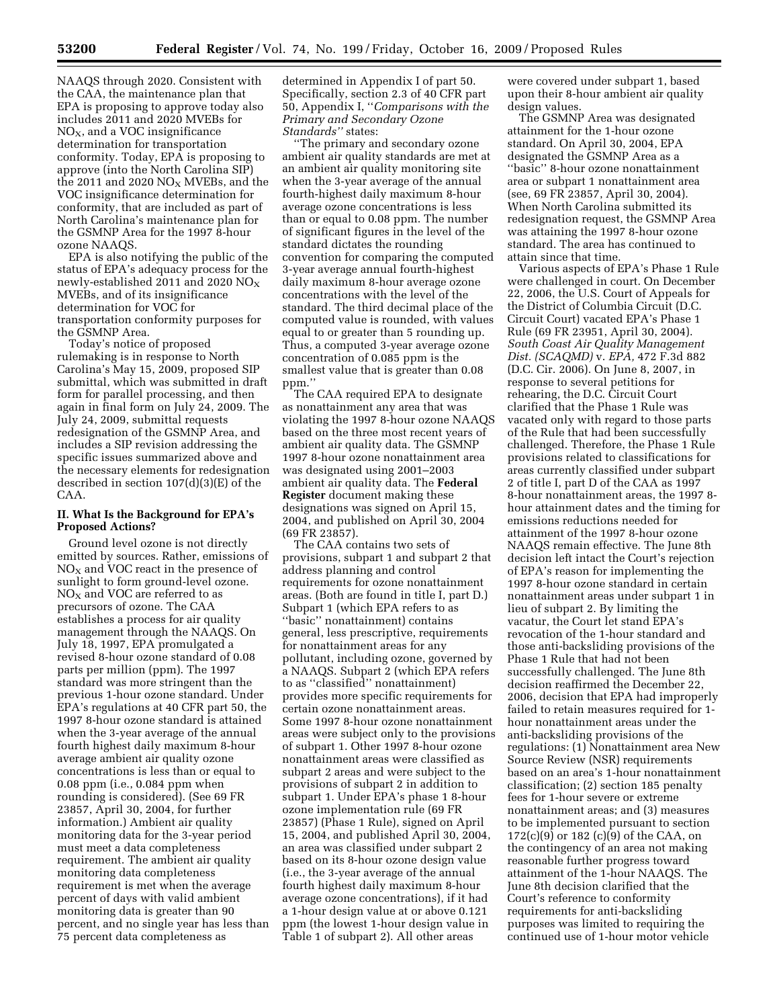NAAQS through 2020. Consistent with the CAA, the maintenance plan that EPA is proposing to approve today also includes 2011 and 2020 MVEBs for  $NO<sub>X</sub>$ , and a VOC insignificance determination for transportation conformity. Today, EPA is proposing to approve (into the North Carolina SIP) the 2011 and 2020  $NO<sub>X</sub>$  MVEBs, and the VOC insignificance determination for conformity, that are included as part of North Carolina's maintenance plan for the GSMNP Area for the 1997 8-hour ozone NAAQS.

EPA is also notifying the public of the status of EPA's adequacy process for the newly-established 2011 and 2020  $NO_X$ MVEBs, and of its insignificance determination for VOC for transportation conformity purposes for the GSMNP Area.

Today's notice of proposed rulemaking is in response to North Carolina's May 15, 2009, proposed SIP submittal, which was submitted in draft form for parallel processing, and then again in final form on July 24, 2009. The July 24, 2009, submittal requests redesignation of the GSMNP Area, and includes a SIP revision addressing the specific issues summarized above and the necessary elements for redesignation described in section 107(d)(3)(E) of the CAA.

#### **II. What Is the Background for EPA's Proposed Actions?**

Ground level ozone is not directly emitted by sources. Rather, emissions of  $NO<sub>x</sub>$  and VOC react in the presence of sunlight to form ground-level ozone.  $NO<sub>X</sub>$  and VOC are referred to as precursors of ozone. The CAA establishes a process for air quality management through the NAAQS. On July 18, 1997, EPA promulgated a revised 8-hour ozone standard of 0.08 parts per million (ppm). The 1997 standard was more stringent than the previous 1-hour ozone standard. Under EPA's regulations at 40 CFR part 50, the 1997 8-hour ozone standard is attained when the 3-year average of the annual fourth highest daily maximum 8-hour average ambient air quality ozone concentrations is less than or equal to 0.08 ppm (i.e., 0.084 ppm when rounding is considered). (See 69 FR 23857, April 30, 2004, for further information.) Ambient air quality monitoring data for the 3-year period must meet a data completeness requirement. The ambient air quality monitoring data completeness requirement is met when the average percent of days with valid ambient monitoring data is greater than 90 percent, and no single year has less than 75 percent data completeness as

determined in Appendix I of part 50. Specifically, section 2.3 of 40 CFR part 50, Appendix I, ''*Comparisons with the Primary and Secondary Ozone Standards''* states:

''The primary and secondary ozone ambient air quality standards are met at an ambient air quality monitoring site when the 3-year average of the annual fourth-highest daily maximum 8-hour average ozone concentrations is less than or equal to 0.08 ppm. The number of significant figures in the level of the standard dictates the rounding convention for comparing the computed 3-year average annual fourth-highest daily maximum 8-hour average ozone concentrations with the level of the standard. The third decimal place of the computed value is rounded, with values equal to or greater than 5 rounding up. Thus, a computed 3-year average ozone concentration of 0.085 ppm is the smallest value that is greater than 0.08 ppm.''

The CAA required EPA to designate as nonattainment any area that was violating the 1997 8-hour ozone NAAQS based on the three most recent years of ambient air quality data. The GSMNP 1997 8-hour ozone nonattainment area was designated using 2001–2003 ambient air quality data. The **Federal Register** document making these designations was signed on April 15, 2004, and published on April 30, 2004 (69 FR 23857).

The CAA contains two sets of provisions, subpart 1 and subpart 2 that address planning and control requirements for ozone nonattainment areas. (Both are found in title I, part D.) Subpart 1 (which EPA refers to as ''basic'' nonattainment) contains general, less prescriptive, requirements for nonattainment areas for any pollutant, including ozone, governed by a NAAQS. Subpart 2 (which EPA refers to as ''classified'' nonattainment) provides more specific requirements for certain ozone nonattainment areas. Some 1997 8-hour ozone nonattainment areas were subject only to the provisions of subpart 1. Other 1997 8-hour ozone nonattainment areas were classified as subpart 2 areas and were subject to the provisions of subpart 2 in addition to subpart 1. Under EPA's phase 1 8-hour ozone implementation rule (69 FR 23857) (Phase 1 Rule), signed on April 15, 2004, and published April 30, 2004, an area was classified under subpart 2 based on its 8-hour ozone design value (i.e., the 3-year average of the annual fourth highest daily maximum 8-hour average ozone concentrations), if it had a 1-hour design value at or above 0.121 ppm (the lowest 1-hour design value in Table 1 of subpart 2). All other areas

were covered under subpart 1, based upon their 8-hour ambient air quality design values.

The GSMNP Area was designated attainment for the 1-hour ozone standard. On April 30, 2004, EPA designated the GSMNP Area as a ''basic'' 8-hour ozone nonattainment area or subpart 1 nonattainment area (see, 69 FR 23857, April 30, 2004). When North Carolina submitted its redesignation request, the GSMNP Area was attaining the 1997 8-hour ozone standard. The area has continued to attain since that time.

Various aspects of EPA's Phase 1 Rule were challenged in court. On December 22, 2006, the U.S. Court of Appeals for the District of Columbia Circuit (D.C. Circuit Court) vacated EPA's Phase 1 Rule (69 FR 23951, April 30, 2004). *South Coast Air Quality Management Dist. (SCAQMD)* v. *EPA,* 472 F.3d 882 (D.C. Cir. 2006). On June 8, 2007, in response to several petitions for rehearing, the D.C. Circuit Court clarified that the Phase 1 Rule was vacated only with regard to those parts of the Rule that had been successfully challenged. Therefore, the Phase 1 Rule provisions related to classifications for areas currently classified under subpart 2 of title I, part D of the CAA as 1997 8-hour nonattainment areas, the 1997 8 hour attainment dates and the timing for emissions reductions needed for attainment of the 1997 8-hour ozone NAAQS remain effective. The June 8th decision left intact the Court's rejection of EPA's reason for implementing the 1997 8-hour ozone standard in certain nonattainment areas under subpart 1 in lieu of subpart 2. By limiting the vacatur, the Court let stand EPA's revocation of the 1-hour standard and those anti-backsliding provisions of the Phase 1 Rule that had not been successfully challenged. The June 8th decision reaffirmed the December 22, 2006, decision that EPA had improperly failed to retain measures required for 1 hour nonattainment areas under the anti-backsliding provisions of the regulations: (1) Nonattainment area New Source Review (NSR) requirements based on an area's 1-hour nonattainment classification; (2) section 185 penalty fees for 1-hour severe or extreme nonattainment areas; and (3) measures to be implemented pursuant to section 172(c)(9) or 182 (c)(9) of the CAA, on the contingency of an area not making reasonable further progress toward attainment of the 1-hour NAAQS. The June 8th decision clarified that the Court's reference to conformity requirements for anti-backsliding purposes was limited to requiring the continued use of 1-hour motor vehicle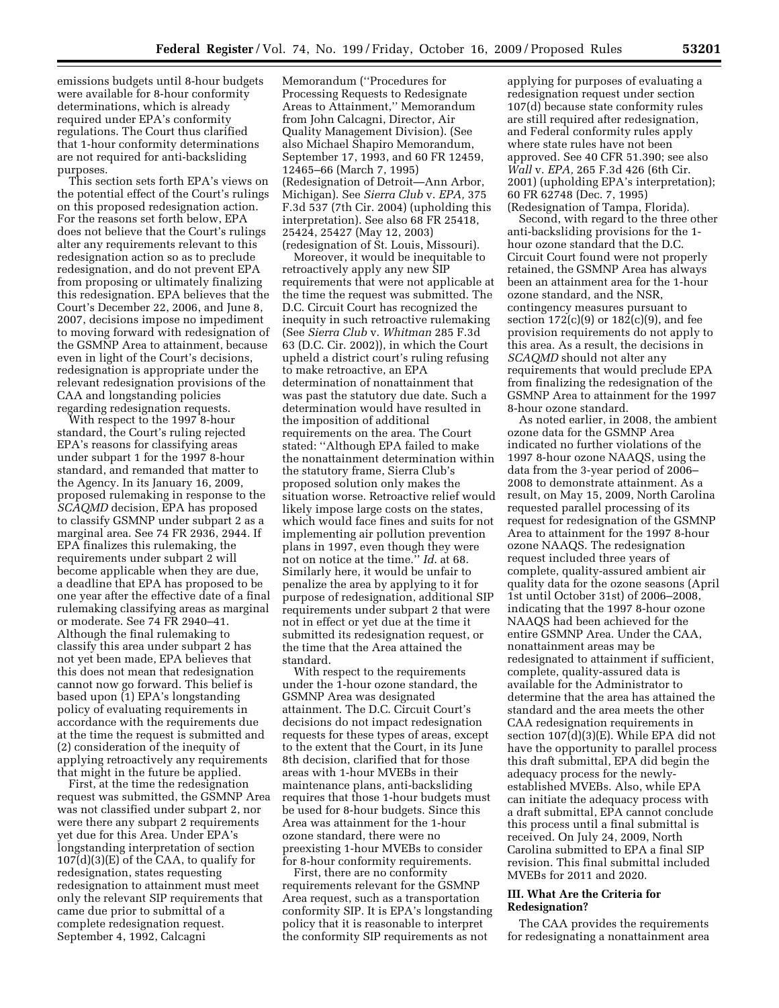emissions budgets until 8-hour budgets were available for 8-hour conformity determinations, which is already required under EPA's conformity regulations. The Court thus clarified that 1-hour conformity determinations are not required for anti-backsliding purposes.

This section sets forth EPA's views on the potential effect of the Court's rulings on this proposed redesignation action. For the reasons set forth below, EPA does not believe that the Court's rulings alter any requirements relevant to this redesignation action so as to preclude redesignation, and do not prevent EPA from proposing or ultimately finalizing this redesignation. EPA believes that the Court's December 22, 2006, and June 8, 2007, decisions impose no impediment to moving forward with redesignation of the GSMNP Area to attainment, because even in light of the Court's decisions, redesignation is appropriate under the relevant redesignation provisions of the CAA and longstanding policies regarding redesignation requests.

With respect to the 1997 8-hour standard, the Court's ruling rejected EPA's reasons for classifying areas under subpart 1 for the 1997 8-hour standard, and remanded that matter to the Agency. In its January 16, 2009, proposed rulemaking in response to the *SCAQMD* decision, EPA has proposed to classify GSMNP under subpart 2 as a marginal area. See 74 FR 2936, 2944. If EPA finalizes this rulemaking, the requirements under subpart 2 will become applicable when they are due, a deadline that EPA has proposed to be one year after the effective date of a final rulemaking classifying areas as marginal or moderate. See 74 FR 2940–41. Although the final rulemaking to classify this area under subpart 2 has not yet been made, EPA believes that this does not mean that redesignation cannot now go forward. This belief is based upon (1) EPA's longstanding policy of evaluating requirements in accordance with the requirements due at the time the request is submitted and (2) consideration of the inequity of applying retroactively any requirements that might in the future be applied.

First, at the time the redesignation request was submitted, the GSMNP Area was not classified under subpart 2, nor were there any subpart 2 requirements yet due for this Area. Under EPA's longstanding interpretation of section 107(d)(3)(E) of the CAA, to qualify for redesignation, states requesting redesignation to attainment must meet only the relevant SIP requirements that came due prior to submittal of a complete redesignation request. September 4, 1992, Calcagni

Memorandum (''Procedures for Processing Requests to Redesignate Areas to Attainment,'' Memorandum from John Calcagni, Director, Air Quality Management Division). (See also Michael Shapiro Memorandum, September 17, 1993, and 60 FR 12459, 12465–66 (March 7, 1995) (Redesignation of Detroit—Ann Arbor, Michigan). See *Sierra Club* v. *EPA,* 375 F.3d 537 (7th Cir. 2004) (upholding this interpretation). See also 68 FR 25418, 25424, 25427 (May 12, 2003) (redesignation of St. Louis, Missouri).

Moreover, it would be inequitable to retroactively apply any new SIP requirements that were not applicable at the time the request was submitted. The D.C. Circuit Court has recognized the inequity in such retroactive rulemaking (See *Sierra Club* v. *Whitman* 285 F.3d 63 (D.C. Cir. 2002)), in which the Court upheld a district court's ruling refusing to make retroactive, an EPA determination of nonattainment that was past the statutory due date. Such a determination would have resulted in the imposition of additional requirements on the area. The Court stated: ''Although EPA failed to make the nonattainment determination within the statutory frame, Sierra Club's proposed solution only makes the situation worse. Retroactive relief would likely impose large costs on the states, which would face fines and suits for not implementing air pollution prevention plans in 1997, even though they were not on notice at the time.'' *Id*. at 68. Similarly here, it would be unfair to penalize the area by applying to it for purpose of redesignation, additional SIP requirements under subpart 2 that were not in effect or yet due at the time it submitted its redesignation request, or the time that the Area attained the standard.

With respect to the requirements under the 1-hour ozone standard, the GSMNP Area was designated attainment. The D.C. Circuit Court's decisions do not impact redesignation requests for these types of areas, except to the extent that the Court, in its June 8th decision, clarified that for those areas with 1-hour MVEBs in their maintenance plans, anti-backsliding requires that those 1-hour budgets must be used for 8-hour budgets. Since this Area was attainment for the 1-hour ozone standard, there were no preexisting 1-hour MVEBs to consider for 8-hour conformity requirements.

First, there are no conformity requirements relevant for the GSMNP Area request, such as a transportation conformity SIP. It is EPA's longstanding policy that it is reasonable to interpret the conformity SIP requirements as not

applying for purposes of evaluating a redesignation request under section 107(d) because state conformity rules are still required after redesignation, and Federal conformity rules apply where state rules have not been approved. See 40 CFR 51.390; see also *Wall* v. *EPA,* 265 F.3d 426 (6th Cir. 2001) (upholding EPA's interpretation); 60 FR 62748 (Dec. 7, 1995) (Redesignation of Tampa, Florida).

Second, with regard to the three other anti-backsliding provisions for the 1 hour ozone standard that the D.C. Circuit Court found were not properly retained, the GSMNP Area has always been an attainment area for the 1-hour ozone standard, and the NSR, contingency measures pursuant to section  $172(c)(9)$  or  $182(c)(9)$ , and fee provision requirements do not apply to this area. As a result, the decisions in *SCAQMD* should not alter any requirements that would preclude EPA from finalizing the redesignation of the GSMNP Area to attainment for the 1997 8-hour ozone standard.

As noted earlier, in 2008, the ambient ozone data for the GSMNP Area indicated no further violations of the 1997 8-hour ozone NAAQS, using the data from the 3-year period of 2006– 2008 to demonstrate attainment. As a result, on May 15, 2009, North Carolina requested parallel processing of its request for redesignation of the GSMNP Area to attainment for the 1997 8-hour ozone NAAQS. The redesignation request included three years of complete, quality-assured ambient air quality data for the ozone seasons (April 1st until October 31st) of 2006–2008, indicating that the 1997 8-hour ozone NAAQS had been achieved for the entire GSMNP Area. Under the CAA, nonattainment areas may be redesignated to attainment if sufficient, complete, quality-assured data is available for the Administrator to determine that the area has attained the standard and the area meets the other CAA redesignation requirements in section 107(d)(3)(E). While EPA did not have the opportunity to parallel process this draft submittal, EPA did begin the adequacy process for the newlyestablished MVEBs. Also, while EPA can initiate the adequacy process with a draft submittal, EPA cannot conclude this process until a final submittal is received. On July 24, 2009, North Carolina submitted to EPA a final SIP revision. This final submittal included MVEBs for 2011 and 2020.

# **III. What Are the Criteria for Redesignation?**

The CAA provides the requirements for redesignating a nonattainment area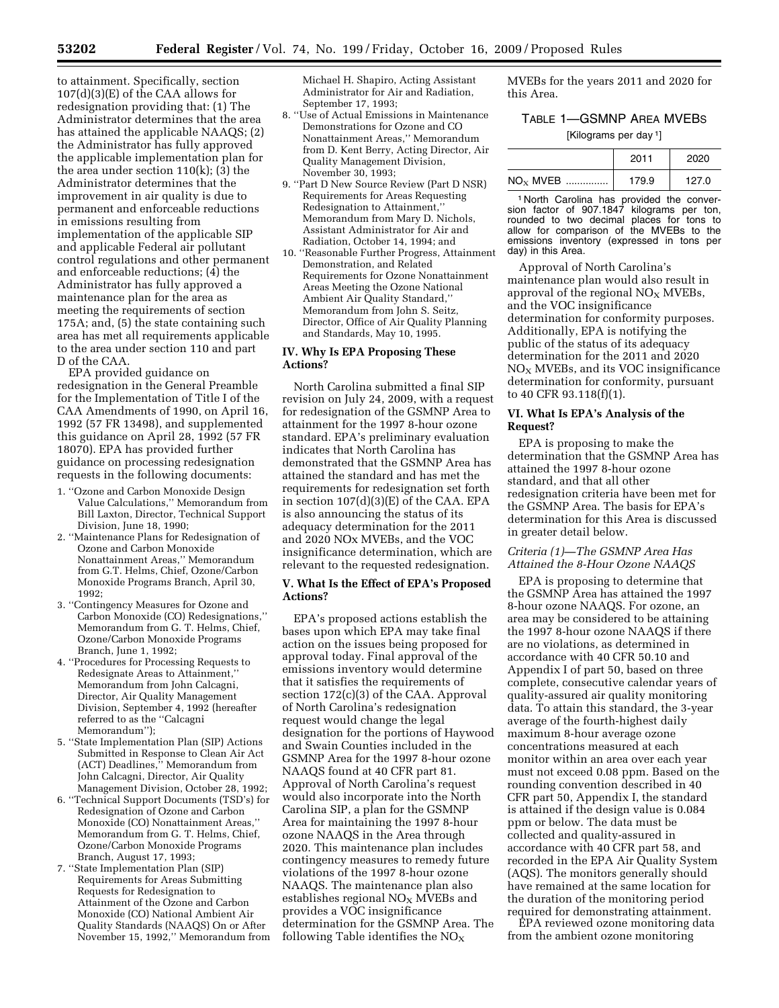to attainment. Specifically, section 107(d)(3)(E) of the CAA allows for redesignation providing that: (1) The Administrator determines that the area has attained the applicable NAAQS; (2) the Administrator has fully approved the applicable implementation plan for the area under section 110(k); (3) the Administrator determines that the improvement in air quality is due to permanent and enforceable reductions in emissions resulting from implementation of the applicable SIP and applicable Federal air pollutant control regulations and other permanent and enforceable reductions; (4) the Administrator has fully approved a maintenance plan for the area as meeting the requirements of section 175A; and, (5) the state containing such area has met all requirements applicable to the area under section 110 and part D of the CAA.

EPA provided guidance on redesignation in the General Preamble for the Implementation of Title I of the CAA Amendments of 1990, on April 16, 1992 (57 FR 13498), and supplemented this guidance on April 28, 1992 (57 FR 18070). EPA has provided further guidance on processing redesignation requests in the following documents:

- 1. ''Ozone and Carbon Monoxide Design Value Calculations,'' Memorandum from Bill Laxton, Director, Technical Support Division, June 18, 1990;
- 2. ''Maintenance Plans for Redesignation of Ozone and Carbon Monoxide Nonattainment Areas,'' Memorandum from G.T. Helms, Chief, Ozone/Carbon Monoxide Programs Branch, April 30, 1992;
- 3. ''Contingency Measures for Ozone and Carbon Monoxide (CO) Redesignations,'' Memorandum from G. T. Helms, Chief, Ozone/Carbon Monoxide Programs Branch, June 1, 1992;
- 4. ''Procedures for Processing Requests to Redesignate Areas to Attainment,'' Memorandum from John Calcagni, Director, Air Quality Management Division, September 4, 1992 (hereafter referred to as the ''Calcagni Memorandum'');
- 5. ''State Implementation Plan (SIP) Actions Submitted in Response to Clean Air Act (ACT) Deadlines,'' Memorandum from John Calcagni, Director, Air Quality Management Division, October 28, 1992;
- 6. ''Technical Support Documents (TSD's) for Redesignation of Ozone and Carbon Monoxide (CO) Nonattainment Areas,'' Memorandum from G. T. Helms, Chief, Ozone/Carbon Monoxide Programs Branch, August 17, 1993;
- 7. ''State Implementation Plan (SIP) Requirements for Areas Submitting Requests for Redesignation to Attainment of the Ozone and Carbon Monoxide (CO) National Ambient Air Quality Standards (NAAQS) On or After November 15, 1992,'' Memorandum from

Michael H. Shapiro, Acting Assistant Administrator for Air and Radiation, September 17, 1993;

- 8. ''Use of Actual Emissions in Maintenance Demonstrations for Ozone and CO Nonattainment Areas,'' Memorandum from D. Kent Berry, Acting Director, Air Quality Management Division, November 30, 1993;
- 9. ''Part D New Source Review (Part D NSR) Requirements for Areas Requesting Redesignation to Attainment,'' Memorandum from Mary D. Nichols, Assistant Administrator for Air and Radiation, October 14, 1994; and
- 10. ''Reasonable Further Progress, Attainment Demonstration, and Related Requirements for Ozone Nonattainment Areas Meeting the Ozone National Ambient Air Quality Standard,'' Memorandum from John S. Seitz, Director, Office of Air Quality Planning and Standards, May 10, 1995.

### **IV. Why Is EPA Proposing These Actions?**

North Carolina submitted a final SIP revision on July 24, 2009, with a request for redesignation of the GSMNP Area to attainment for the 1997 8-hour ozone standard. EPA's preliminary evaluation indicates that North Carolina has demonstrated that the GSMNP Area has attained the standard and has met the requirements for redesignation set forth in section 107(d)(3)(E) of the CAA. EPA is also announcing the status of its adequacy determination for the 2011 and 2020 NOx MVEBs, and the VOC insignificance determination, which are relevant to the requested redesignation.

# **V. What Is the Effect of EPA's Proposed Actions?**

EPA's proposed actions establish the bases upon which EPA may take final action on the issues being proposed for approval today. Final approval of the emissions inventory would determine that it satisfies the requirements of section 172(c)(3) of the CAA. Approval of North Carolina's redesignation request would change the legal designation for the portions of Haywood and Swain Counties included in the GSMNP Area for the 1997 8-hour ozone NAAQS found at 40 CFR part 81. Approval of North Carolina's request would also incorporate into the North Carolina SIP, a plan for the GSMNP Area for maintaining the 1997 8-hour ozone NAAQS in the Area through 2020. This maintenance plan includes contingency measures to remedy future violations of the 1997 8-hour ozone NAAQS. The maintenance plan also establishes regional  $NO<sub>x</sub>$  MVEBs and provides a VOC insignificance determination for the GSMNP Area. The following Table identifies the  $NO<sub>x</sub>$ 

MVEBs for the years 2011 and 2020 for this Area.

# TABLE 1—GSMNP AREA MVEBS

[Kilograms per day 1]

|            | 2011  | 2020  |
|------------|-------|-------|
| $NOx$ MVEB | 179.9 | 127.0 |

1 North Carolina has provided the conversion factor of 907.1847 kilograms per ton, rounded to two decimal places for tons to allow for comparison of the MVEBs to the emissions inventory (expressed in tons per day) in this Area.

Approval of North Carolina's maintenance plan would also result in approval of the regional  $NO<sub>X</sub>$  MVEBs, and the VOC insignificance determination for conformity purposes. Additionally, EPA is notifying the public of the status of its adequacy determination for the 2011 and 2020  $NO<sub>X</sub>$  MVEBs, and its VOC insignificance determination for conformity, pursuant to 40 CFR 93.118(f)(1).

# **VI. What Is EPA's Analysis of the Request?**

EPA is proposing to make the determination that the GSMNP Area has attained the 1997 8-hour ozone standard, and that all other redesignation criteria have been met for the GSMNP Area. The basis for EPA's determination for this Area is discussed in greater detail below.

# *Criteria (1)—The GSMNP Area Has Attained the 8-Hour Ozone NAAQS*

EPA is proposing to determine that the GSMNP Area has attained the 1997 8-hour ozone NAAQS. For ozone, an area may be considered to be attaining the 1997 8-hour ozone NAAQS if there are no violations, as determined in accordance with 40 CFR 50.10 and Appendix I of part 50, based on three complete, consecutive calendar years of quality-assured air quality monitoring data. To attain this standard, the 3-year average of the fourth-highest daily maximum 8-hour average ozone concentrations measured at each monitor within an area over each year must not exceed 0.08 ppm. Based on the rounding convention described in 40 CFR part 50, Appendix I, the standard is attained if the design value is 0.084 ppm or below. The data must be collected and quality-assured in accordance with 40 CFR part 58, and recorded in the EPA Air Quality System (AQS). The monitors generally should have remained at the same location for the duration of the monitoring period required for demonstrating attainment.

EPA reviewed ozone monitoring data from the ambient ozone monitoring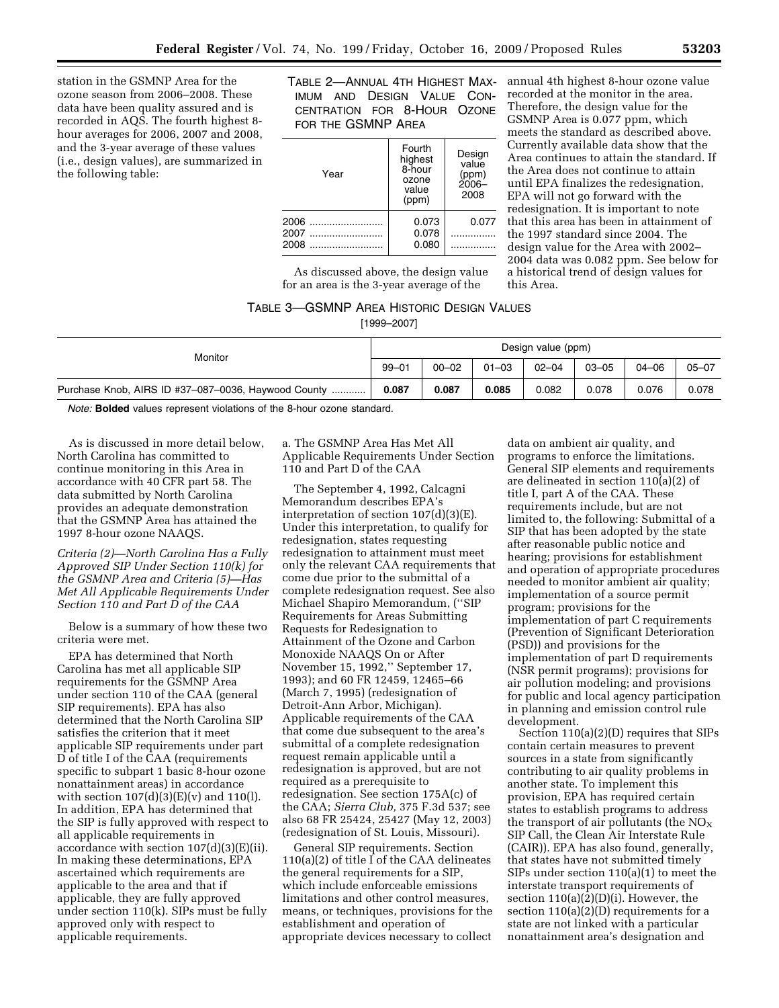station in the GSMNP Area for the ozone season from 2006–2008. These data have been quality assured and is recorded in AQS. The fourth highest 8 hour averages for 2006, 2007 and 2008, and the 3-year average of these values (i.e., design values), are summarized in the following table:

TABLE 2—ANNUAL 4TH HIGHEST MAX-annual 4th highest 8-hour ozone value IMUM AND DESIGN VALUE CON-CENTRATION FOR 8-HOUR OZONE FOR THE GSMNP AREA

| Year         | Fourth<br>highest<br>8-hour<br>ozone<br>value<br>(ppm) | Design<br>value<br>(ppm)<br>$2006 -$<br>2008 |
|--------------|--------------------------------------------------------|----------------------------------------------|
| 2006         | 0.073                                                  | 0.077                                        |
| 2007<br>2008 | 0.078<br>0.080                                         |                                              |

As discussed above, the design value for an area is the 3-year average of the

# recorded at the monitor in the area. Therefore, the design value for the GSMNP Area is 0.077 ppm, which meets the standard as described above. Currently available data show that the Area continues to attain the standard. If the Area does not continue to attain until EPA finalizes the redesignation, EPA will not go forward with the redesignation. It is important to note that this area has been in attainment of the 1997 standard since 2004. The design value for the Area with 2002– 2004 data was 0.082 ppm. See below for a historical trend of design values for this Area.

# TABLE 3—GSMNP AREA HISTORIC DESIGN VALUES

[1999–2007]

| Monitor                                                  | Design value (ppm) |           |           |           |           |           |           |
|----------------------------------------------------------|--------------------|-----------|-----------|-----------|-----------|-----------|-----------|
|                                                          | $99 - 01$          | $00 - 02$ | $01 - 03$ | $02 - 04$ | $03 - 05$ | $04 - 06$ | $05 - 07$ |
| Purchase Knob, AIRS ID #37-087-0036, Haywood County<br>. | 0.087              | 0.087     | 0.085     | 0.082     | 0.078     | 0.076     | 0.078     |

*Note:* **Bolded** values represent violations of the 8-hour ozone standard.

As is discussed in more detail below, North Carolina has committed to continue monitoring in this Area in accordance with 40 CFR part 58. The data submitted by North Carolina provides an adequate demonstration that the GSMNP Area has attained the 1997 8-hour ozone NAAQS.

# *Criteria (2)—North Carolina Has a Fully Approved SIP Under Section 110(k) for the GSMNP Area and Criteria (5)—Has Met All Applicable Requirements Under Section 110 and Part D of the CAA*

Below is a summary of how these two criteria were met.

EPA has determined that North Carolina has met all applicable SIP requirements for the GSMNP Area under section 110 of the CAA (general SIP requirements). EPA has also determined that the North Carolina SIP satisfies the criterion that it meet applicable SIP requirements under part D of title I of the CAA (requirements specific to subpart 1 basic 8-hour ozone nonattainment areas) in accordance with section  $107(d)(3)(E)(v)$  and  $110(l)$ . In addition, EPA has determined that the SIP is fully approved with respect to all applicable requirements in accordance with section  $107(d)(3)(E)(ii)$ . In making these determinations, EPA ascertained which requirements are applicable to the area and that if applicable, they are fully approved under section 110(k). SIPs must be fully approved only with respect to applicable requirements.

a. The GSMNP Area Has Met All Applicable Requirements Under Section 110 and Part D of the CAA

The September 4, 1992, Calcagni Memorandum describes EPA's interpretation of section 107(d)(3)(E). Under this interpretation, to qualify for redesignation, states requesting redesignation to attainment must meet only the relevant CAA requirements that come due prior to the submittal of a complete redesignation request. See also Michael Shapiro Memorandum, (''SIP Requirements for Areas Submitting Requests for Redesignation to Attainment of the Ozone and Carbon Monoxide NAAQS On or After November 15, 1992,'' September 17, 1993); and 60 FR 12459, 12465–66 (March 7, 1995) (redesignation of Detroit-Ann Arbor, Michigan). Applicable requirements of the CAA that come due subsequent to the area's submittal of a complete redesignation request remain applicable until a redesignation is approved, but are not required as a prerequisite to redesignation. See section 175A(c) of the CAA; *Sierra Club,* 375 F.3d 537; see also 68 FR 25424, 25427 (May 12, 2003) (redesignation of St. Louis, Missouri).

General SIP requirements. Section 110(a)(2) of title I of the CAA delineates the general requirements for a SIP, which include enforceable emissions limitations and other control measures, means, or techniques, provisions for the establishment and operation of appropriate devices necessary to collect

data on ambient air quality, and programs to enforce the limitations. General SIP elements and requirements are delineated in section  $110(a)(2)$  of title I, part A of the CAA. These requirements include, but are not limited to, the following: Submittal of a SIP that has been adopted by the state after reasonable public notice and hearing; provisions for establishment and operation of appropriate procedures needed to monitor ambient air quality; implementation of a source permit program; provisions for the implementation of part C requirements (Prevention of Significant Deterioration (PSD)) and provisions for the implementation of part D requirements (NSR permit programs); provisions for air pollution modeling; and provisions for public and local agency participation in planning and emission control rule development.

Section 110(a)(2)(D) requires that SIPs contain certain measures to prevent sources in a state from significantly contributing to air quality problems in another state. To implement this provision, EPA has required certain states to establish programs to address the transport of air pollutants (the  $NO<sub>X</sub>$ SIP Call, the Clean Air Interstate Rule (CAIR)). EPA has also found, generally, that states have not submitted timely SIPs under section 110(a)(1) to meet the interstate transport requirements of section 110(a)(2)(D)(i). However, the section  $110(a)(2)(D)$  requirements for a state are not linked with a particular nonattainment area's designation and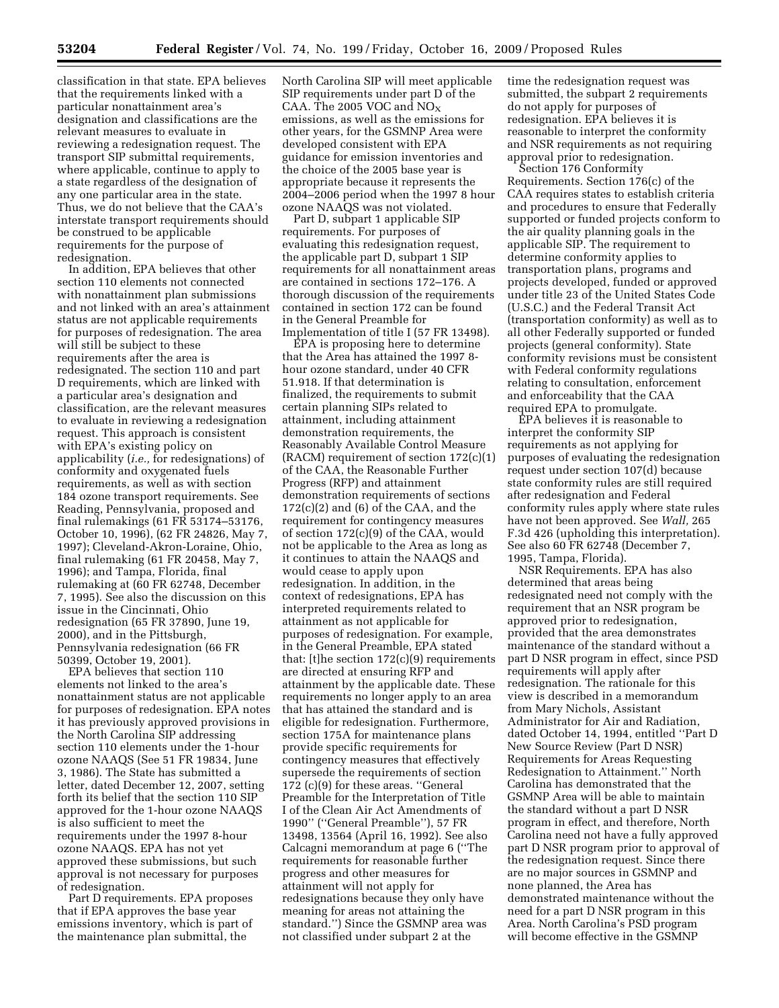classification in that state. EPA believes that the requirements linked with a particular nonattainment area's designation and classifications are the relevant measures to evaluate in reviewing a redesignation request. The transport SIP submittal requirements, where applicable, continue to apply to a state regardless of the designation of any one particular area in the state. Thus, we do not believe that the CAA's interstate transport requirements should be construed to be applicable requirements for the purpose of redesignation.

In addition, EPA believes that other section 110 elements not connected with nonattainment plan submissions and not linked with an area's attainment status are not applicable requirements for purposes of redesignation. The area will still be subject to these requirements after the area is redesignated. The section 110 and part D requirements, which are linked with a particular area's designation and classification, are the relevant measures to evaluate in reviewing a redesignation request. This approach is consistent with EPA's existing policy on applicability (*i.e.,* for redesignations) of conformity and oxygenated fuels requirements, as well as with section 184 ozone transport requirements. See Reading, Pennsylvania, proposed and final rulemakings (61 FR 53174–53176, October 10, 1996), (62 FR 24826, May 7, 1997); Cleveland-Akron-Loraine, Ohio, final rulemaking (61 FR 20458, May 7, 1996); and Tampa, Florida, final rulemaking at (60 FR 62748, December 7, 1995). See also the discussion on this issue in the Cincinnati, Ohio redesignation (65 FR 37890, June 19, 2000), and in the Pittsburgh, Pennsylvania redesignation (66 FR 50399, October 19, 2001).

EPA believes that section 110 elements not linked to the area's nonattainment status are not applicable for purposes of redesignation. EPA notes it has previously approved provisions in the North Carolina SIP addressing section 110 elements under the 1-hour ozone NAAQS (See 51 FR 19834, June 3, 1986). The State has submitted a letter, dated December 12, 2007, setting forth its belief that the section 110 SIP approved for the 1-hour ozone NAAQS is also sufficient to meet the requirements under the 1997 8-hour ozone NAAQS. EPA has not yet approved these submissions, but such approval is not necessary for purposes of redesignation.

Part D requirements. EPA proposes that if EPA approves the base year emissions inventory, which is part of the maintenance plan submittal, the

North Carolina SIP will meet applicable SIP requirements under part D of the CAA. The 2005 VOC and  $NO<sub>X</sub>$ emissions, as well as the emissions for other years, for the GSMNP Area were developed consistent with EPA guidance for emission inventories and the choice of the 2005 base year is appropriate because it represents the 2004–2006 period when the 1997 8 hour ozone NAAQS was not violated.

Part D, subpart 1 applicable SIP requirements. For purposes of evaluating this redesignation request, the applicable part D, subpart 1 SIP requirements for all nonattainment areas are contained in sections 172–176. A thorough discussion of the requirements contained in section 172 can be found in the General Preamble for Implementation of title I (57 FR 13498).

EPA is proposing here to determine that the Area has attained the 1997 8 hour ozone standard, under 40 CFR 51.918. If that determination is finalized, the requirements to submit certain planning SIPs related to attainment, including attainment demonstration requirements, the Reasonably Available Control Measure (RACM) requirement of section 172(c)(1) of the CAA, the Reasonable Further Progress (RFP) and attainment demonstration requirements of sections  $172(c)(2)$  and  $(6)$  of the CAA, and the requirement for contingency measures of section 172(c)(9) of the CAA, would not be applicable to the Area as long as it continues to attain the NAAQS and would cease to apply upon redesignation. In addition, in the context of redesignations, EPA has interpreted requirements related to attainment as not applicable for purposes of redesignation. For example, in the General Preamble, EPA stated that: [t]he section 172(c)(9) requirements are directed at ensuring RFP and attainment by the applicable date. These requirements no longer apply to an area that has attained the standard and is eligible for redesignation. Furthermore, section 175A for maintenance plans provide specific requirements for contingency measures that effectively supersede the requirements of section 172 (c)(9) for these areas. ''General Preamble for the Interpretation of Title I of the Clean Air Act Amendments of 1990'' (''General Preamble''), 57 FR 13498, 13564 (April 16, 1992). See also Calcagni memorandum at page 6 (''The requirements for reasonable further progress and other measures for attainment will not apply for redesignations because they only have meaning for areas not attaining the standard.'') Since the GSMNP area was not classified under subpart 2 at the

time the redesignation request was submitted, the subpart 2 requirements do not apply for purposes of redesignation. EPA believes it is reasonable to interpret the conformity and NSR requirements as not requiring approval prior to redesignation.

Section 176 Conformity Requirements. Section 176(c) of the CAA requires states to establish criteria and procedures to ensure that Federally supported or funded projects conform to the air quality planning goals in the applicable SIP. The requirement to determine conformity applies to transportation plans, programs and projects developed, funded or approved under title 23 of the United States Code (U.S.C.) and the Federal Transit Act (transportation conformity) as well as to all other Federally supported or funded projects (general conformity). State conformity revisions must be consistent with Federal conformity regulations relating to consultation, enforcement and enforceability that the CAA required EPA to promulgate.

EPA believes it is reasonable to interpret the conformity SIP requirements as not applying for purposes of evaluating the redesignation request under section 107(d) because state conformity rules are still required after redesignation and Federal conformity rules apply where state rules have not been approved. See *Wall,* 265 F.3d 426 (upholding this interpretation). See also 60 FR 62748 (December 7, 1995, Tampa, Florida).

NSR Requirements. EPA has also determined that areas being redesignated need not comply with the requirement that an NSR program be approved prior to redesignation, provided that the area demonstrates maintenance of the standard without a part D NSR program in effect, since PSD requirements will apply after redesignation. The rationale for this view is described in a memorandum from Mary Nichols, Assistant Administrator for Air and Radiation, dated October 14, 1994, entitled ''Part D New Source Review (Part D NSR) Requirements for Areas Requesting Redesignation to Attainment.'' North Carolina has demonstrated that the GSMNP Area will be able to maintain the standard without a part D NSR program in effect, and therefore, North Carolina need not have a fully approved part D NSR program prior to approval of the redesignation request. Since there are no major sources in GSMNP and none planned, the Area has demonstrated maintenance without the need for a part D NSR program in this Area. North Carolina's PSD program will become effective in the GSMNP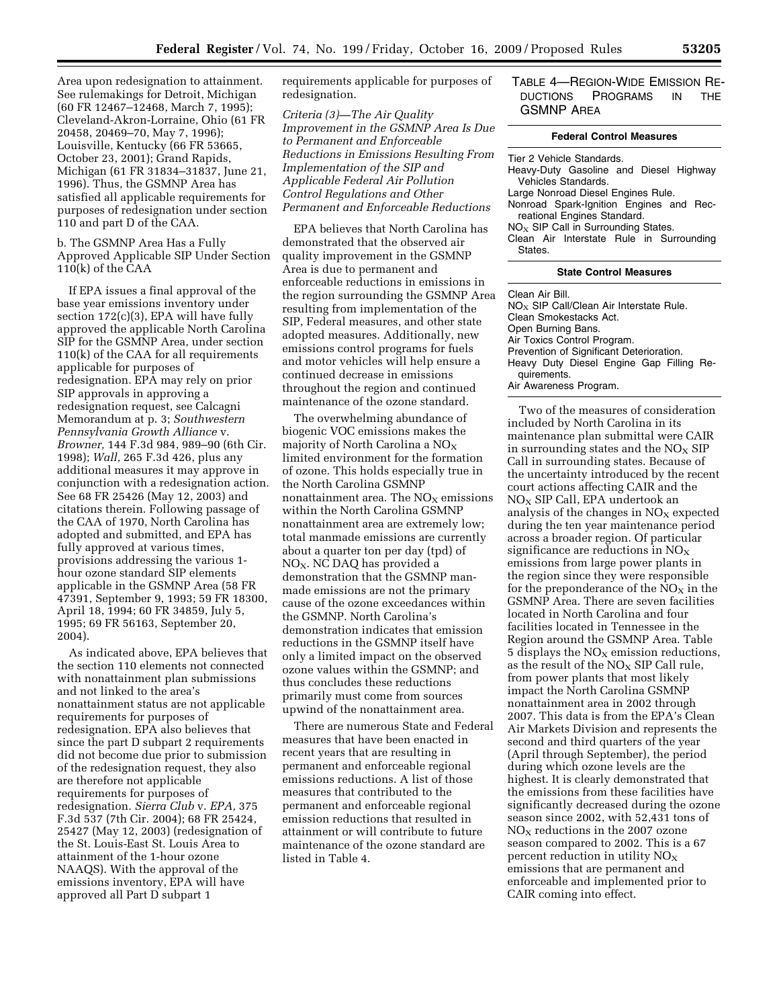Area upon redesignation to attainment. See rulemakings for Detroit, Michigan (60 FR 12467–12468, March 7, 1995); Cleveland-Akron-Lorraine, Ohio (61 FR 20458, 20469–70, May 7, 1996); Louisville, Kentucky (66 FR 53665, October 23, 2001); Grand Rapids, Michigan (61 FR 31834–31837, June 21, 1996). Thus, the GSMNP Area has satisfied all applicable requirements for purposes of redesignation under section 110 and part D of the CAA.

b. The GSMNP Area Has a Fully Approved Applicable SIP Under Section 110(k) of the CAA

If EPA issues a final approval of the base year emissions inventory under section 172(c)(3), EPA will have fully approved the applicable North Carolina SIP for the GSMNP Area, under section 110(k) of the CAA for all requirements applicable for purposes of redesignation. EPA may rely on prior SIP approvals in approving a redesignation request, see Calcagni Memorandum at p. 3; *Southwestern Pennsylvania Growth Alliance* v. *Browner,* 144 F.3d 984, 989–90 (6th Cir. 1998); *Wall,* 265 F.3d 426, plus any additional measures it may approve in conjunction with a redesignation action. See 68 FR 25426 (May 12, 2003) and citations therein. Following passage of the CAA of 1970, North Carolina has adopted and submitted, and EPA has fully approved at various times, provisions addressing the various 1 hour ozone standard SIP elements applicable in the GSMNP Area (58 FR 47391, September 9, 1993; 59 FR 18300, April 18, 1994; 60 FR 34859, July 5, 1995; 69 FR 56163, September 20, 2004).

As indicated above, EPA believes that the section 110 elements not connected with nonattainment plan submissions and not linked to the area's nonattainment status are not applicable requirements for purposes of redesignation. EPA also believes that since the part D subpart 2 requirements did not become due prior to submission of the redesignation request, they also are therefore not applicable requirements for purposes of redesignation. *Sierra Club* v. *EPA,* 375 F.3d 537 (7th Cir. 2004); 68 FR 25424, 25427 (May 12, 2003) (redesignation of the St. Louis-East St. Louis Area to attainment of the 1-hour ozone NAAQS). With the approval of the emissions inventory, EPA will have approved all Part D subpart 1

requirements applicable for purposes of redesignation.

*Criteria (3)—The Air Quality Improvement in the GSMNP Area Is Due to Permanent and Enforceable Reductions in Emissions Resulting From Implementation of the SIP and Applicable Federal Air Pollution Control Regulations and Other Permanent and Enforceable Reductions* 

EPA believes that North Carolina has demonstrated that the observed air quality improvement in the GSMNP Area is due to permanent and enforceable reductions in emissions in the region surrounding the GSMNP Area resulting from implementation of the SIP, Federal measures, and other state adopted measures. Additionally, new emissions control programs for fuels and motor vehicles will help ensure a continued decrease in emissions throughout the region and continued maintenance of the ozone standard.

The overwhelming abundance of biogenic VOC emissions makes the majority of North Carolina a  $NO<sub>x</sub>$ limited environment for the formation of ozone. This holds especially true in the North Carolina GSMNP nonattainment area. The  $NO<sub>x</sub>$  emissions within the North Carolina GSMNP nonattainment area are extremely low; total manmade emissions are currently about a quarter ton per day (tpd) of  $NO<sub>X</sub>$ . NC DAQ has provided a demonstration that the GSMNP manmade emissions are not the primary cause of the ozone exceedances within the GSMNP. North Carolina's demonstration indicates that emission reductions in the GSMNP itself have only a limited impact on the observed ozone values within the GSMNP; and thus concludes these reductions primarily must come from sources upwind of the nonattainment area.

There are numerous State and Federal measures that have been enacted in recent years that are resulting in permanent and enforceable regional emissions reductions. A list of those measures that contributed to the permanent and enforceable regional emission reductions that resulted in attainment or will contribute to future maintenance of the ozone standard are listed in Table 4.

# TABLE 4—REGION-WIDE EMISSION RE-DUCTIONS PROGRAMS IN THE GSMNP AREA

#### **Federal Control Measures**

| Tier 2 Vehicle Standards.<br>Heavy-Duty Gasoline and Diesel Highway<br>Vehicles Standards. |  |  |  |  |  |
|--------------------------------------------------------------------------------------------|--|--|--|--|--|
| Large Nonroad Diesel Engines Rule.                                                         |  |  |  |  |  |
| Nonroad Spark-Ignition Engines and Rec-<br>reational Engines Standard.                     |  |  |  |  |  |
| $NOx$ SIP Call in Surrounding States.                                                      |  |  |  |  |  |
| Clean Air Interstate Rule in Surrounding<br>States.                                        |  |  |  |  |  |
| <b>State Control Measures</b>                                                              |  |  |  |  |  |
| Clean Air Bill.<br>$N_O$ $CID$ $Call/Cleon$ $A$ is interacted $Dula$                       |  |  |  |  |  |

NO $_{\rm X}$  SIP Call/Clean Air Interstate Rule. Clean Smokestacks Act. Open Burning Bans. Air Toxics Control Program. Prevention of Significant Deterioration. Heavy Duty Diesel Engine Gap Filling Requirements. Air Awareness Program.

Two of the measures of consideration included by North Carolina in its maintenance plan submittal were CAIR in surrounding states and the  $NO<sub>x</sub>$  SIP Call in surrounding states. Because of the uncertainty introduced by the recent court actions affecting CAIR and the  $NO<sub>X</sub>$  SIP Call, EPA undertook an analysis of the changes in  $NO<sub>X</sub>$  expected during the ten year maintenance period across a broader region. Of particular significance are reductions in  $NO<sub>x</sub>$ emissions from large power plants in the region since they were responsible for the preponderance of the  $NO<sub>x</sub>$  in the GSMNP Area. There are seven facilities located in North Carolina and four facilities located in Tennessee in the Region around the GSMNP Area. Table 5 displays the  $NO<sub>X</sub>$  emission reductions, as the result of the  $NO<sub>X</sub>$  SIP Call rule, from power plants that most likely impact the North Carolina GSMNP nonattainment area in 2002 through 2007. This data is from the EPA's Clean Air Markets Division and represents the second and third quarters of the year (April through September), the period during which ozone levels are the highest. It is clearly demonstrated that the emissions from these facilities have significantly decreased during the ozone season since 2002, with 52,431 tons of  $NO<sub>x</sub>$  reductions in the 2007 ozone season compared to 2002. This is a 67 percent reduction in utility  $NO<sub>x</sub>$ emissions that are permanent and enforceable and implemented prior to CAIR coming into effect.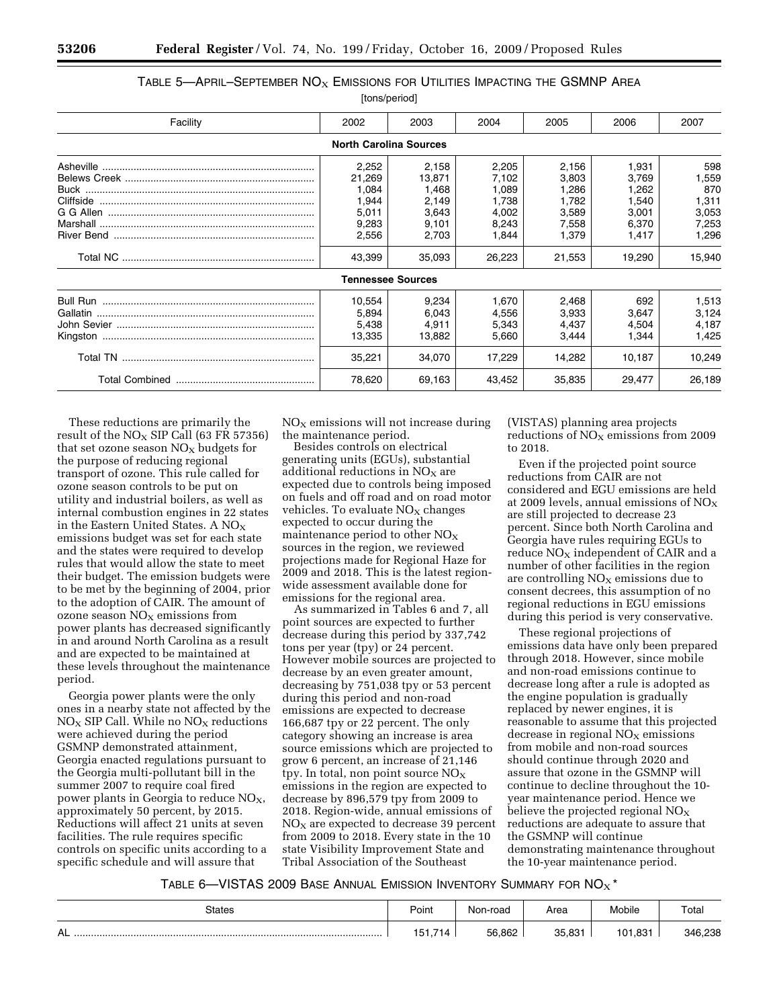# TABLE 5—APRIL–SEPTEMBER  $NO<sub>X</sub>$  EMISSIONS FOR UTILITIES IMPACTING THE GSMNP AREA [tons/period]

| Facility | 2002                          | 2003   | 2004   | 2005   | 2006   | 2007   |
|----------|-------------------------------|--------|--------|--------|--------|--------|
|          | <b>North Carolina Sources</b> |        |        |        |        |        |
|          | 2,252                         | 2.158  | 2,205  | 2,156  | 1,931  | 598    |
|          | 21,269                        | 13,871 | 7,102  | 3,803  | 3,769  | 1,559  |
|          | 1,084                         | 1.468  | 1.089  | 1,286  | 1.262  | 870    |
|          | 1,944                         | 2,149  | 1,738  | 1,782  | 1,540  | 1,311  |
|          | 5,011                         | 3,643  | 4,002  | 3,589  | 3,001  | 3,053  |
|          | 9,283                         | 9,101  | 8,243  | 7,558  | 6,370  | 7,253  |
|          | 2,556                         | 2,703  | 1,844  | 1,379  | 1,417  | 1,296  |
|          | 43,399                        | 35,093 | 26,223 | 21,553 | 19,290 | 15,940 |
|          | <b>Tennessee Sources</b>      |        |        |        |        |        |
|          | 10,554                        | 9.234  | 1.670  | 2,468  | 692    | 1,513  |
|          | 5,894                         | 6,043  | 4,556  | 3,933  | 3,647  | 3,124  |
|          | 5,438                         | 4,911  | 5,343  | 4,437  | 4,504  | 4,187  |
|          | 13,335                        | 13,882 | 5,660  | 3,444  | 1,344  | 1,425  |
|          | 35,221                        | 34.070 | 17,229 | 14,282 | 10.187 | 10,249 |
|          | 78,620                        | 69,163 | 43,452 | 35,835 | 29,477 | 26,189 |

These reductions are primarily the result of the  $NO<sub>x</sub>$  SIP Call (63 FR 57356) that set ozone season  $NO<sub>x</sub>$  budgets for the purpose of reducing regional transport of ozone. This rule called for ozone season controls to be put on utility and industrial boilers, as well as internal combustion engines in 22 states in the Eastern United States. A NO<sub>X</sub> emissions budget was set for each state and the states were required to develop rules that would allow the state to meet their budget. The emission budgets were to be met by the beginning of 2004, prior to the adoption of CAIR. The amount of ozone season  $NO<sub>x</sub>$  emissions from power plants has decreased significantly in and around North Carolina as a result and are expected to be maintained at these levels throughout the maintenance period.

Georgia power plants were the only ones in a nearby state not affected by the  $NO<sub>X</sub>$  SIP Call. While no  $NO<sub>X</sub>$  reductions were achieved during the period GSMNP demonstrated attainment, Georgia enacted regulations pursuant to the Georgia multi-pollutant bill in the summer 2007 to require coal fired power plants in Georgia to reduce  $NO<sub>X</sub>$ , approximately 50 percent, by 2015. Reductions will affect 21 units at seven facilities. The rule requires specific controls on specific units according to a specific schedule and will assure that

 $NO<sub>X</sub>$  emissions will not increase during the maintenance period.

Besides controls on electrical generating units (EGUs), substantial additional reductions in  $NO<sub>X</sub>$  are expected due to controls being imposed on fuels and off road and on road motor vehicles. To evaluate  $NO<sub>x</sub>$  changes expected to occur during the maintenance period to other  $NO<sub>x</sub>$ sources in the region, we reviewed projections made for Regional Haze for 2009 and 2018. This is the latest regionwide assessment available done for emissions for the regional area.

As summarized in Tables 6 and 7, all point sources are expected to further decrease during this period by 337,742 tons per year (tpy) or 24 percent. However mobile sources are projected to decrease by an even greater amount, decreasing by 751,038 tpy or 53 percent during this period and non-road emissions are expected to decrease 166,687 tpy or 22 percent. The only category showing an increase is area source emissions which are projected to grow 6 percent, an increase of 21,146 tpy. In total, non point source  $NO<sub>x</sub>$ emissions in the region are expected to decrease by 896,579 tpy from 2009 to 2018. Region-wide, annual emissions of  $NO<sub>x</sub>$  are expected to decrease 39 percent from 2009 to 2018. Every state in the 10 state Visibility Improvement State and Tribal Association of the Southeast

(VISTAS) planning area projects reductions of  $NO<sub>x</sub>$  emissions from 2009 to 2018.

Even if the projected point source reductions from CAIR are not considered and EGU emissions are held at 2009 levels, annual emissions of  $NO<sub>x</sub>$ are still projected to decrease 23 percent. Since both North Carolina and Georgia have rules requiring EGUs to reduce  $NO<sub>X</sub>$  independent of CAIR and a number of other facilities in the region are controlling  $NO<sub>x</sub>$  emissions due to consent decrees, this assumption of no regional reductions in EGU emissions during this period is very conservative.

These regional projections of emissions data have only been prepared through 2018. However, since mobile and non-road emissions continue to decrease long after a rule is adopted as the engine population is gradually replaced by newer engines, it is reasonable to assume that this projected decrease in regional  $NO<sub>x</sub>$  emissions from mobile and non-road sources should continue through 2020 and assure that ozone in the GSMNP will continue to decline throughout the 10 year maintenance period. Hence we believe the projected regional  $NO<sub>x</sub>$ reductions are adequate to assure that the GSMNP will continue demonstrating maintenance throughout the 10-year maintenance period.

| TABLE 6—VISTAS 2009 BASE ANNUAL EMISSION INVENTORY SUMMARY FOR $NO_X$ * |  |
|-------------------------------------------------------------------------|--|
|-------------------------------------------------------------------------|--|

| States         | Point                | Non-road | Area   | Mobile  | $\tau$ <sub>otal</sub> |
|----------------|----------------------|----------|--------|---------|------------------------|
| <b>AL</b><br>. | .714<br>151<br>، ا ب | 56,862   | 35.831 | 101.831 | 346,238                |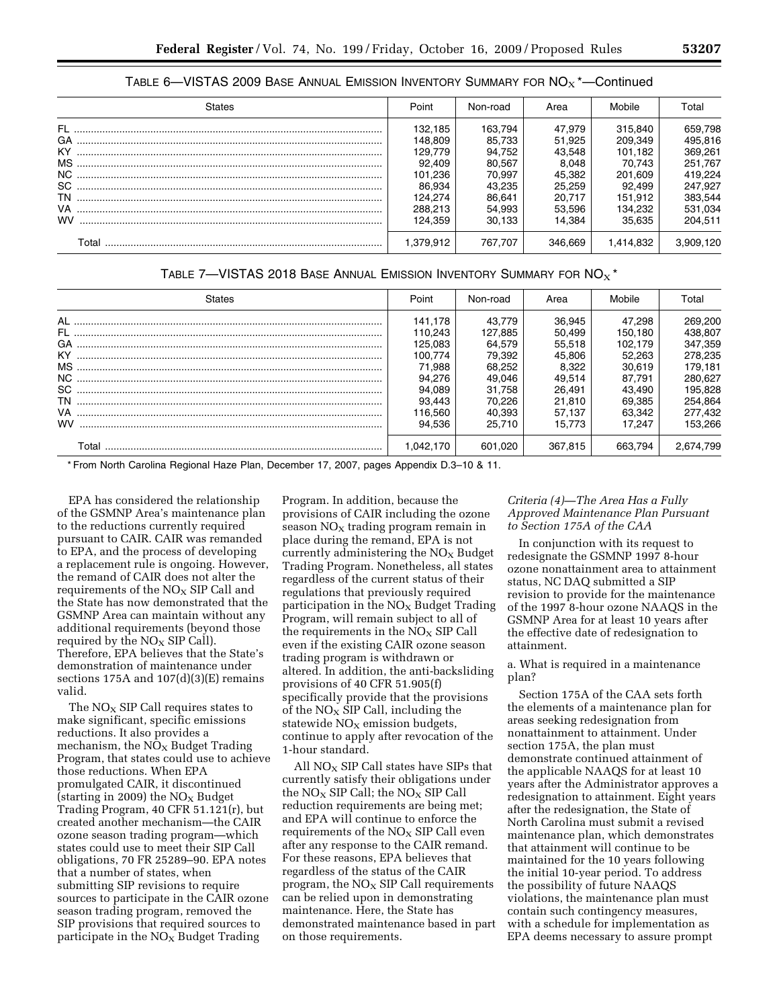| <b>States</b> | Point     | Non-road | Area    | Mobile    | Total     |
|---------------|-----------|----------|---------|-----------|-----------|
|               | 132.185   | 163.794  | 47.979  | 315,840   | 659,798   |
|               | 148.809   | 85.733   | 51.925  | 209.349   | 495.816   |
|               | 129.779   | 94.752   | 43,548  | 101,182   | 369,261   |
|               | 92.409    | 80.567   | 8,048   | 70.743    | 251.767   |
|               | 101,236   | 70.997   | 45.382  | 201,609   | 419,224   |
|               | 86,934    | 43,235   | 25,259  | 92.499    | 247,927   |
|               | 124.274   | 86.641   | 20.717  | 151.912   | 383,544   |
|               | 288.213   | 54,993   | 53,596  | 134.232   | 531,034   |
| <b>WV</b>     | 124.359   | 30.133   | 14.384  | 35.635    | 204,511   |
| Total         | 1.379.912 | 767.707  | 346.669 | 1.414.832 | 3.909.120 |

TABLE 6—VISTAS 2009 BASE ANNUAL EMISSION INVENTORY SUMMARY FOR  $NO<sub>X</sub>$ <sup>\*</sup>—Continued

# TABLE 7-VISTAS 2018 BASE ANNUAL EMISSION INVENTORY SUMMARY FOR  $NO<sub>x</sub>$ <sup>\*</sup>

| States    | Point     | Non-road | Area    | Mobile  | Total     |
|-----------|-----------|----------|---------|---------|-----------|
|           | 141.178   | 43.779   | 36,945  | 47.298  | 269,200   |
|           | 110.243   | 127.885  | 50.499  | 150.180 | 438.807   |
|           | 125.083   | 64.579   | 55.518  | 102.179 | 347,359   |
|           | 100.774   | 79.392   | 45.806  | 52.263  | 278,235   |
|           | 71.988    | 68.252   | 8.322   | 30.619  | 179.181   |
|           | 94.276    | 49.046   | 49.514  | 87.791  | 280.627   |
|           | 94.089    | 31.758   | 26.491  | 43.490  | 195.828   |
|           | 93.443    | 70.226   | 21.810  | 69.385  | 254,864   |
|           | 116.560   | 40.393   | 57.137  | 63.342  | 277.432   |
| <b>WV</b> | 94.536    | 25.710   | 15.773  | 17.247  | 153.266   |
| T∩tal     | 1.042.170 | 601.020  | 367.815 | 663.794 | 2.674.799 |

\* From North Carolina Regional Haze Plan, December 17, 2007, pages Appendix D.3–10 & 11.

EPA has considered the relationship of the GSMNP Area's maintenance plan to the reductions currently required pursuant to CAIR. CAIR was remanded to EPA, and the process of developing a replacement rule is ongoing. However, the remand of CAIR does not alter the requirements of the  $NO<sub>x</sub>$  SIP Call and the State has now demonstrated that the GSMNP Area can maintain without any additional requirements (beyond those required by the  $NO<sub>x</sub>$  SIP Call). Therefore, EPA believes that the State's demonstration of maintenance under sections 175A and 107(d)(3)(E) remains valid.

The  $NO<sub>X</sub>$  SIP Call requires states to make significant, specific emissions reductions. It also provides a mechanism, the  $NO<sub>x</sub>$  Budget Trading Program, that states could use to achieve those reductions. When EPA promulgated CAIR, it discontinued (starting in 2009) the  $NO<sub>x</sub>$  Budget Trading Program, 40 CFR 51.121(r), but created another mechanism—the CAIR ozone season trading program—which states could use to meet their SIP Call obligations, 70 FR 25289–90. EPA notes that a number of states, when submitting SIP revisions to require sources to participate in the CAIR ozone season trading program, removed the SIP provisions that required sources to participate in the  $NO<sub>x</sub>$  Budget Trading

Program. In addition, because the provisions of CAIR including the ozone season  $NO<sub>x</sub>$  trading program remain in place during the remand, EPA is not currently administering the  $NO<sub>x</sub>$  Budget Trading Program. Nonetheless, all states regardless of the current status of their regulations that previously required participation in the  $NO<sub>X</sub>$  Budget Trading Program, will remain subject to all of the requirements in the  $NO<sub>x</sub>$  SIP Call even if the existing CAIR ozone season trading program is withdrawn or altered. In addition, the anti-backsliding provisions of 40 CFR 51.905(f) specifically provide that the provisions of the  $NO<sub>x</sub>$  SIP Call, including the statewide  $NO<sub>x</sub>$  emission budgets, continue to apply after revocation of the 1-hour standard.

All  $NO<sub>x</sub>$  SIP Call states have SIPs that currently satisfy their obligations under the  $NO<sub>X</sub>$  SIP Call; the  $NO<sub>X</sub>$  SIP Call reduction requirements are being met; and EPA will continue to enforce the requirements of the  $NO<sub>x</sub>$  SIP Call even after any response to the CAIR remand. For these reasons, EPA believes that regardless of the status of the CAIR program, the  $NO<sub>x</sub>$  SIP Call requirements can be relied upon in demonstrating maintenance. Here, the State has demonstrated maintenance based in part on those requirements.

### *Criteria (4)—The Area Has a Fully Approved Maintenance Plan Pursuant to Section 175A of the CAA*

In conjunction with its request to redesignate the GSMNP 1997 8-hour ozone nonattainment area to attainment status, NC DAQ submitted a SIP revision to provide for the maintenance of the 1997 8-hour ozone NAAQS in the GSMNP Area for at least 10 years after the effective date of redesignation to attainment.

a. What is required in a maintenance plan?

Section 175A of the CAA sets forth the elements of a maintenance plan for areas seeking redesignation from nonattainment to attainment. Under section 175A, the plan must demonstrate continued attainment of the applicable NAAQS for at least 10 years after the Administrator approves a redesignation to attainment. Eight years after the redesignation, the State of North Carolina must submit a revised maintenance plan, which demonstrates that attainment will continue to be maintained for the 10 years following the initial 10-year period. To address the possibility of future NAAQS violations, the maintenance plan must contain such contingency measures, with a schedule for implementation as EPA deems necessary to assure prompt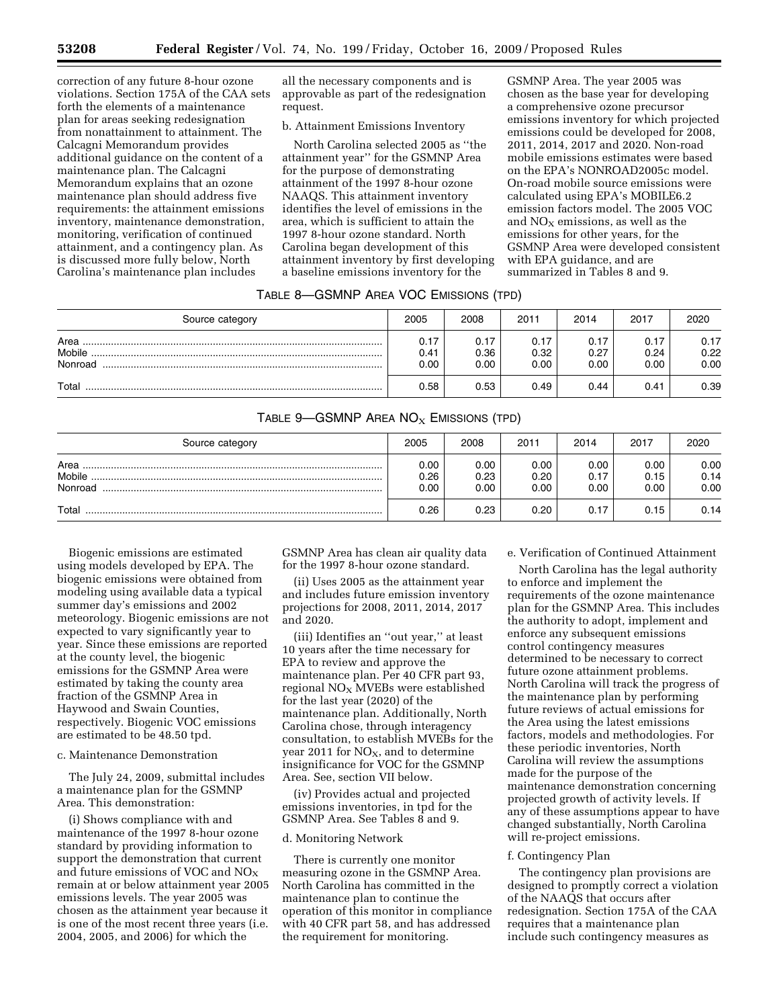correction of any future 8-hour ozone violations. Section 175A of the CAA sets forth the elements of a maintenance plan for areas seeking redesignation from nonattainment to attainment. The Calcagni Memorandum provides additional guidance on the content of a maintenance plan. The Calcagni Memorandum explains that an ozone maintenance plan should address five requirements: the attainment emissions inventory, maintenance demonstration, monitoring, verification of continued attainment, and a contingency plan. As is discussed more fully below, North Carolina's maintenance plan includes

all the necessary components and is approvable as part of the redesignation request.

#### b. Attainment Emissions Inventory

North Carolina selected 2005 as ''the attainment year'' for the GSMNP Area for the purpose of demonstrating attainment of the 1997 8-hour ozone NAAQS. This attainment inventory identifies the level of emissions in the area, which is sufficient to attain the 1997 8-hour ozone standard. North Carolina began development of this attainment inventory by first developing a baseline emissions inventory for the

GSMNP Area. The year 2005 was chosen as the base year for developing a comprehensive ozone precursor emissions inventory for which projected emissions could be developed for 2008, 2011, 2014, 2017 and 2020. Non-road mobile emissions estimates were based on the EPA's NONROAD2005c model. On-road mobile source emissions were calculated using EPA's MOBILE6.2 emission factors model. The 2005 VOC and  $NO<sub>x</sub>$  emissions, as well as the emissions for other years, for the GSMNP Area were developed consistent with EPA guidance, and are summarized in Tables 8 and 9.

# TABLE 8—GSMNP AREA VOC EMISSIONS (TPD)

| Source category           | 2005                     | 2008                 | 2011                 | 2014                 | 2017                 | 2020                 |
|---------------------------|--------------------------|----------------------|----------------------|----------------------|----------------------|----------------------|
| Area<br>Mobile<br>Nonroad | 0.17<br>0.41<br>$0.00\,$ | 0.17<br>0.36<br>0.00 | 0.17<br>0.32<br>0.00 | 0.17<br>0.27<br>0.00 | 0.17<br>0.24<br>0.00 | 0.17<br>0.22<br>0.00 |
| Total                     | 0.58                     | 0.53                 | 0.49                 | 0.44                 | 0.41                 | 0.39                 |

# TABLE  $9$ —GSMNP AREA NO<sub>X</sub> EMISSIONS (TPD)

| Source category           | 2005                 | 2008                 | 2011                 | 2014                 | 2017                 | 2020                 |
|---------------------------|----------------------|----------------------|----------------------|----------------------|----------------------|----------------------|
| Area<br>Mobile<br>Nonroad | 0.00<br>0.26<br>0.00 | 0.00<br>0.23<br>0.00 | 0.00<br>0.20<br>0.00 | 0.00<br>0.17<br>0.00 | 0.00<br>0.15<br>0.00 | 0.00<br>0.14<br>0.00 |
| Total                     | 0.26                 | 0.23                 | 0.20                 | 0.17                 | 0.15                 | 0.14                 |

Biogenic emissions are estimated using models developed by EPA. The biogenic emissions were obtained from modeling using available data a typical summer day's emissions and 2002 meteorology. Biogenic emissions are not expected to vary significantly year to year. Since these emissions are reported at the county level, the biogenic emissions for the GSMNP Area were estimated by taking the county area fraction of the GSMNP Area in Haywood and Swain Counties, respectively. Biogenic VOC emissions are estimated to be 48.50 tpd.

#### c. Maintenance Demonstration

The July 24, 2009, submittal includes a maintenance plan for the GSMNP Area. This demonstration:

(i) Shows compliance with and maintenance of the 1997 8-hour ozone standard by providing information to support the demonstration that current and future emissions of VOC and  $NO<sub>X</sub>$ remain at or below attainment year 2005 emissions levels. The year 2005 was chosen as the attainment year because it is one of the most recent three years (i.e. 2004, 2005, and 2006) for which the

GSMNP Area has clean air quality data for the 1997 8-hour ozone standard.

(ii) Uses 2005 as the attainment year and includes future emission inventory projections for 2008, 2011, 2014, 2017 and 2020.

(iii) Identifies an ''out year,'' at least 10 years after the time necessary for EPA to review and approve the maintenance plan. Per 40 CFR part 93, regional  $NO<sub>X</sub>$  MVEBs were established for the last year (2020) of the maintenance plan. Additionally, North Carolina chose, through interagency consultation, to establish MVEBs for the year 2011 for  $NO<sub>X</sub>$ , and to determine insignificance for VOC for the GSMNP Area. See, section VII below.

(iv) Provides actual and projected emissions inventories, in tpd for the GSMNP Area. See Tables 8 and 9.

#### d. Monitoring Network

There is currently one monitor measuring ozone in the GSMNP Area. North Carolina has committed in the maintenance plan to continue the operation of this monitor in compliance with 40 CFR part 58, and has addressed the requirement for monitoring.

e. Verification of Continued Attainment

North Carolina has the legal authority to enforce and implement the requirements of the ozone maintenance plan for the GSMNP Area. This includes the authority to adopt, implement and enforce any subsequent emissions control contingency measures determined to be necessary to correct future ozone attainment problems. North Carolina will track the progress of the maintenance plan by performing future reviews of actual emissions for the Area using the latest emissions factors, models and methodologies. For these periodic inventories, North Carolina will review the assumptions made for the purpose of the maintenance demonstration concerning projected growth of activity levels. If any of these assumptions appear to have changed substantially, North Carolina will re-project emissions.

#### f. Contingency Plan

The contingency plan provisions are designed to promptly correct a violation of the NAAQS that occurs after redesignation. Section 175A of the CAA requires that a maintenance plan include such contingency measures as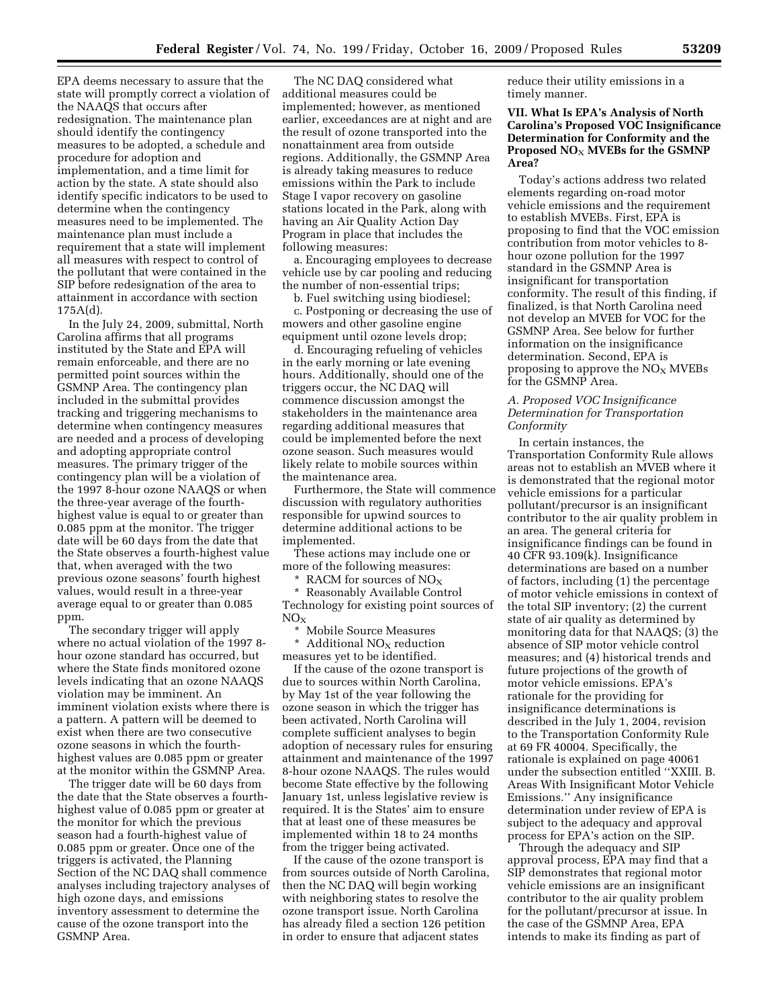EPA deems necessary to assure that the state will promptly correct a violation of the NAAQS that occurs after redesignation. The maintenance plan should identify the contingency measures to be adopted, a schedule and procedure for adoption and implementation, and a time limit for action by the state. A state should also identify specific indicators to be used to determine when the contingency measures need to be implemented. The maintenance plan must include a requirement that a state will implement all measures with respect to control of the pollutant that were contained in the SIP before redesignation of the area to attainment in accordance with section 175A(d).

In the July 24, 2009, submittal, North Carolina affirms that all programs instituted by the State and EPA will remain enforceable, and there are no permitted point sources within the GSMNP Area. The contingency plan included in the submittal provides tracking and triggering mechanisms to determine when contingency measures are needed and a process of developing and adopting appropriate control measures. The primary trigger of the contingency plan will be a violation of the 1997 8-hour ozone NAAQS or when the three-year average of the fourthhighest value is equal to or greater than 0.085 ppm at the monitor. The trigger date will be 60 days from the date that the State observes a fourth-highest value that, when averaged with the two previous ozone seasons' fourth highest values, would result in a three-year average equal to or greater than 0.085 ppm.

The secondary trigger will apply where no actual violation of the 1997 8 hour ozone standard has occurred, but where the State finds monitored ozone levels indicating that an ozone NAAQS violation may be imminent. An imminent violation exists where there is a pattern. A pattern will be deemed to exist when there are two consecutive ozone seasons in which the fourthhighest values are 0.085 ppm or greater at the monitor within the GSMNP Area.

The trigger date will be 60 days from the date that the State observes a fourthhighest value of 0.085 ppm or greater at the monitor for which the previous season had a fourth-highest value of 0.085 ppm or greater. Once one of the triggers is activated, the Planning Section of the NC DAQ shall commence analyses including trajectory analyses of high ozone days, and emissions inventory assessment to determine the cause of the ozone transport into the GSMNP Area.

The NC DAQ considered what additional measures could be implemented; however, as mentioned earlier, exceedances are at night and are the result of ozone transported into the nonattainment area from outside regions. Additionally, the GSMNP Area is already taking measures to reduce emissions within the Park to include Stage I vapor recovery on gasoline stations located in the Park, along with having an Air Quality Action Day Program in place that includes the following measures:

a. Encouraging employees to decrease vehicle use by car pooling and reducing the number of non-essential trips;

b. Fuel switching using biodiesel;

c. Postponing or decreasing the use of mowers and other gasoline engine equipment until ozone levels drop;

d. Encouraging refueling of vehicles in the early morning or late evening hours. Additionally, should one of the triggers occur, the NC DAQ will commence discussion amongst the stakeholders in the maintenance area regarding additional measures that could be implemented before the next ozone season. Such measures would likely relate to mobile sources within the maintenance area.

Furthermore, the State will commence discussion with regulatory authorities responsible for upwind sources to determine additional actions to be implemented.

These actions may include one or more of the following measures:

\* RACM for sources of  $NO_X$ 

\* Reasonably Available Control Technology for existing point sources of  $\rm NO_X$ 

\* Mobile Source Measures

 $^\star\,$  Additional NO<sub>X</sub> reduction measures yet to be identified.

If the cause of the ozone transport is due to sources within North Carolina, by May 1st of the year following the ozone season in which the trigger has been activated, North Carolina will complete sufficient analyses to begin adoption of necessary rules for ensuring attainment and maintenance of the 1997 8-hour ozone NAAQS. The rules would become State effective by the following January 1st, unless legislative review is required. It is the States' aim to ensure that at least one of these measures be implemented within 18 to 24 months from the trigger being activated.

If the cause of the ozone transport is from sources outside of North Carolina, then the NC DAQ will begin working with neighboring states to resolve the ozone transport issue. North Carolina has already filed a section 126 petition in order to ensure that adjacent states

reduce their utility emissions in a timely manner.

# **VII. What Is EPA's Analysis of North Carolina's Proposed VOC Insignificance Determination for Conformity and the Proposed NO**X **MVEBs for the GSMNP Area?**

Today's actions address two related elements regarding on-road motor vehicle emissions and the requirement to establish MVEBs. First, EPA is proposing to find that the VOC emission contribution from motor vehicles to 8 hour ozone pollution for the 1997 standard in the GSMNP Area is insignificant for transportation conformity. The result of this finding, if finalized, is that North Carolina need not develop an MVEB for VOC for the GSMNP Area. See below for further information on the insignificance determination. Second, EPA is proposing to approve the  $NO<sub>X</sub>$  MVEBs for the GSMNP Area.

### *A. Proposed VOC Insignificance Determination for Transportation Conformity*

In certain instances, the Transportation Conformity Rule allows areas not to establish an MVEB where it is demonstrated that the regional motor vehicle emissions for a particular pollutant/precursor is an insignificant contributor to the air quality problem in an area. The general criteria for insignificance findings can be found in 40 CFR 93.109(k). Insignificance determinations are based on a number of factors, including (1) the percentage of motor vehicle emissions in context of the total SIP inventory; (2) the current state of air quality as determined by monitoring data for that NAAQS; (3) the absence of SIP motor vehicle control measures; and (4) historical trends and future projections of the growth of motor vehicle emissions. EPA's rationale for the providing for insignificance determinations is described in the July 1, 2004, revision to the Transportation Conformity Rule at 69 FR 40004. Specifically, the rationale is explained on page 40061 under the subsection entitled ''XXIII. B. Areas With Insignificant Motor Vehicle Emissions.'' Any insignificance determination under review of EPA is subject to the adequacy and approval process for EPA's action on the SIP.

Through the adequacy and SIP approval process, EPA may find that a SIP demonstrates that regional motor vehicle emissions are an insignificant contributor to the air quality problem for the pollutant/precursor at issue. In the case of the GSMNP Area, EPA intends to make its finding as part of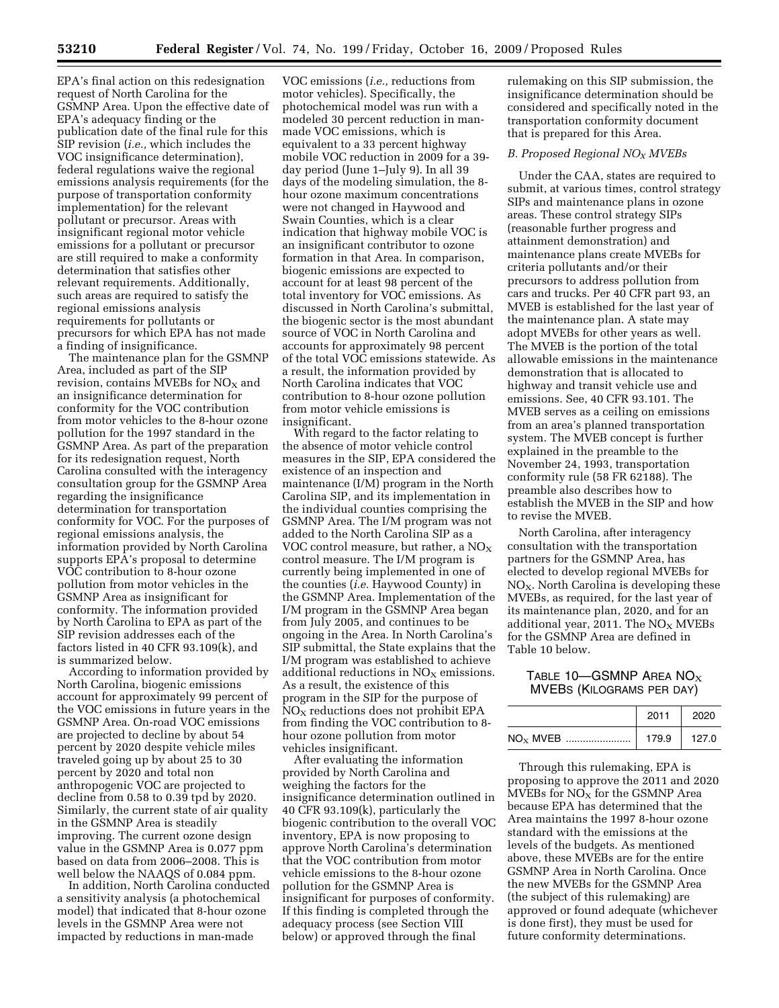EPA's final action on this redesignation request of North Carolina for the GSMNP Area. Upon the effective date of EPA's adequacy finding or the publication date of the final rule for this SIP revision (*i.e.,* which includes the VOC insignificance determination), federal regulations waive the regional emissions analysis requirements (for the purpose of transportation conformity implementation) for the relevant pollutant or precursor. Areas with insignificant regional motor vehicle emissions for a pollutant or precursor are still required to make a conformity determination that satisfies other relevant requirements. Additionally, such areas are required to satisfy the regional emissions analysis requirements for pollutants or precursors for which EPA has not made a finding of insignificance.

The maintenance plan for the GSMNP Area, included as part of the SIP revision, contains MVEBs for  $NO<sub>x</sub>$  and an insignificance determination for conformity for the VOC contribution from motor vehicles to the 8-hour ozone pollution for the 1997 standard in the GSMNP Area. As part of the preparation for its redesignation request, North Carolina consulted with the interagency consultation group for the GSMNP Area regarding the insignificance determination for transportation conformity for VOC. For the purposes of regional emissions analysis, the information provided by North Carolina supports EPA's proposal to determine VOC contribution to 8-hour ozone pollution from motor vehicles in the GSMNP Area as insignificant for conformity. The information provided by North Carolina to EPA as part of the SIP revision addresses each of the factors listed in 40 CFR 93.109(k), and is summarized below.

According to information provided by North Carolina, biogenic emissions account for approximately 99 percent of the VOC emissions in future years in the GSMNP Area. On-road VOC emissions are projected to decline by about 54 percent by 2020 despite vehicle miles traveled going up by about 25 to 30 percent by 2020 and total non anthropogenic VOC are projected to decline from 0.58 to 0.39 tpd by 2020. Similarly, the current state of air quality in the GSMNP Area is steadily improving. The current ozone design value in the GSMNP Area is 0.077 ppm based on data from 2006–2008. This is well below the NAAQS of 0.084 ppm.

In addition, North Carolina conducted a sensitivity analysis (a photochemical model) that indicated that 8-hour ozone levels in the GSMNP Area were not impacted by reductions in man-made

VOC emissions (*i.e.,* reductions from motor vehicles). Specifically, the photochemical model was run with a modeled 30 percent reduction in manmade VOC emissions, which is equivalent to a 33 percent highway mobile VOC reduction in 2009 for a 39 day period (June 1–July 9). In all 39 days of the modeling simulation, the 8 hour ozone maximum concentrations were not changed in Haywood and Swain Counties, which is a clear indication that highway mobile VOC is an insignificant contributor to ozone formation in that Area. In comparison, biogenic emissions are expected to account for at least 98 percent of the total inventory for VOC emissions. As discussed in North Carolina's submittal, the biogenic sector is the most abundant source of VOC in North Carolina and accounts for approximately 98 percent of the total VOC emissions statewide. As a result, the information provided by North Carolina indicates that VOC contribution to 8-hour ozone pollution from motor vehicle emissions is insignificant.

With regard to the factor relating to the absence of motor vehicle control measures in the SIP, EPA considered the existence of an inspection and maintenance (I/M) program in the North Carolina SIP, and its implementation in the individual counties comprising the GSMNP Area. The I/M program was not added to the North Carolina SIP as a VOC control measure, but rather, a  $NO<sub>X</sub>$ control measure. The I/M program is currently being implemented in one of the counties (*i.e.* Haywood County) in the GSMNP Area. Implementation of the I/M program in the GSMNP Area began from July 2005, and continues to be ongoing in the Area. In North Carolina's SIP submittal, the State explains that the I/M program was established to achieve additional reductions in  $NO<sub>X</sub>$  emissions. As a result, the existence of this program in the SIP for the purpose of  $NO<sub>X</sub>$  reductions does not prohibit EPA from finding the VOC contribution to 8 hour ozone pollution from motor vehicles insignificant.

After evaluating the information provided by North Carolina and weighing the factors for the insignificance determination outlined in 40 CFR 93.109(k), particularly the biogenic contribution to the overall VOC inventory, EPA is now proposing to approve North Carolina's determination that the VOC contribution from motor vehicle emissions to the 8-hour ozone pollution for the GSMNP Area is insignificant for purposes of conformity. If this finding is completed through the adequacy process (see Section VIII below) or approved through the final

rulemaking on this SIP submission, the insignificance determination should be considered and specifically noted in the transportation conformity document that is prepared for this Area.

#### *B. Proposed Regional NOX MVEBs*

Under the CAA, states are required to submit, at various times, control strategy SIPs and maintenance plans in ozone areas. These control strategy SIPs (reasonable further progress and attainment demonstration) and maintenance plans create MVEBs for criteria pollutants and/or their precursors to address pollution from cars and trucks. Per 40 CFR part 93, an MVEB is established for the last year of the maintenance plan. A state may adopt MVEBs for other years as well. The MVEB is the portion of the total allowable emissions in the maintenance demonstration that is allocated to highway and transit vehicle use and emissions. See, 40 CFR 93.101. The MVEB serves as a ceiling on emissions from an area's planned transportation system. The MVEB concept is further explained in the preamble to the November 24, 1993, transportation conformity rule (58 FR 62188). The preamble also describes how to establish the MVEB in the SIP and how to revise the MVEB.

North Carolina, after interagency consultation with the transportation partners for the GSMNP Area, has elected to develop regional MVEBs for  $NO<sub>X</sub>$ . North Carolina is developing these MVEBs, as required, for the last year of its maintenance plan, 2020, and for an additional year, 2011. The  $NO<sub>x</sub>$  MVEBs for the GSMNP Area are defined in Table 10 below.

TABLE 10—GSMNP AREA NO $_{\rm X}$ MVEBS (KILOGRAMS PER DAY)

|            | 2011  | 2020  |
|------------|-------|-------|
| $NOx$ MVEB | 179.9 | 127.0 |

Through this rulemaking, EPA is proposing to approve the 2011 and 2020 MVEBs for  $NO<sub>X</sub>$  for the GSMNP Area because EPA has determined that the Area maintains the 1997 8-hour ozone standard with the emissions at the levels of the budgets. As mentioned above, these MVEBs are for the entire GSMNP Area in North Carolina. Once the new MVEBs for the GSMNP Area (the subject of this rulemaking) are approved or found adequate (whichever is done first), they must be used for future conformity determinations.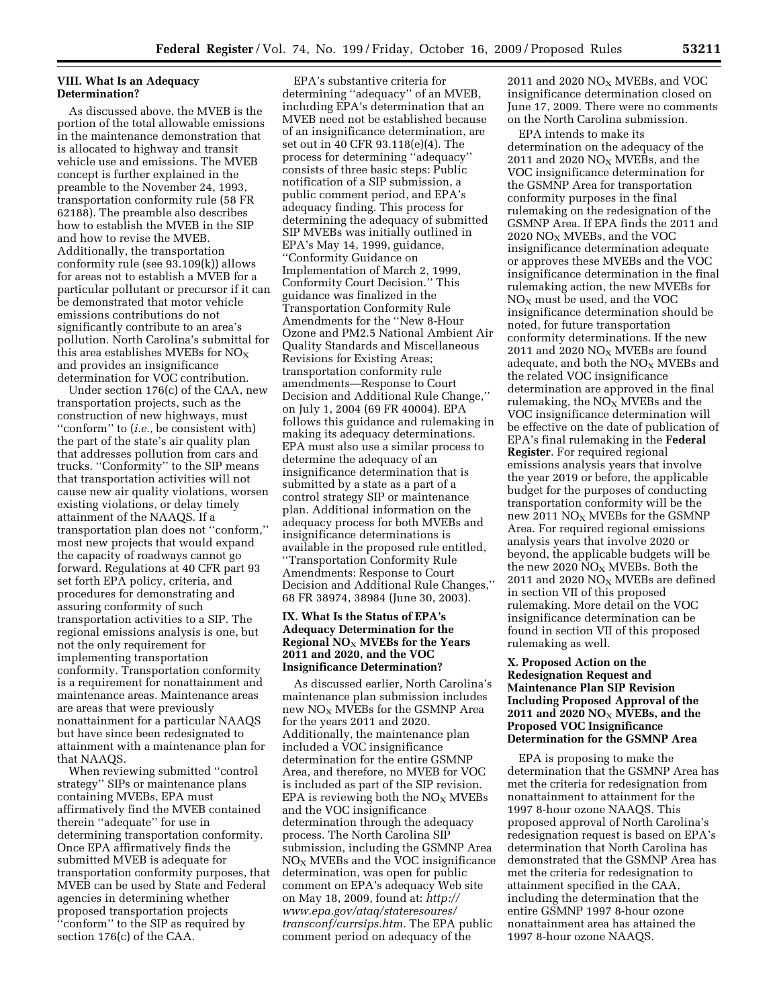# **VIII. What Is an Adequacy Determination?**

As discussed above, the MVEB is the portion of the total allowable emissions in the maintenance demonstration that is allocated to highway and transit vehicle use and emissions. The MVEB concept is further explained in the preamble to the November 24, 1993, transportation conformity rule (58 FR 62188). The preamble also describes how to establish the MVEB in the SIP and how to revise the MVEB. Additionally, the transportation conformity rule (see 93.109(k)) allows for areas not to establish a MVEB for a particular pollutant or precursor if it can be demonstrated that motor vehicle emissions contributions do not significantly contribute to an area's pollution. North Carolina's submittal for this area establishes MVEBs for  $NO<sub>x</sub>$ and provides an insignificance determination for VOC contribution.

Under section 176(c) of the CAA, new transportation projects, such as the construction of new highways, must ''conform'' to (*i.e.,* be consistent with) the part of the state's air quality plan that addresses pollution from cars and trucks. ''Conformity'' to the SIP means that transportation activities will not cause new air quality violations, worsen existing violations, or delay timely attainment of the NAAQS. If a transportation plan does not ''conform,'' most new projects that would expand the capacity of roadways cannot go forward. Regulations at 40 CFR part 93 set forth EPA policy, criteria, and procedures for demonstrating and assuring conformity of such transportation activities to a SIP. The regional emissions analysis is one, but not the only requirement for implementing transportation conformity. Transportation conformity is a requirement for nonattainment and maintenance areas. Maintenance areas are areas that were previously nonattainment for a particular NAAQS but have since been redesignated to attainment with a maintenance plan for that NAAQS.

When reviewing submitted ''control strategy'' SIPs or maintenance plans containing MVEBs, EPA must affirmatively find the MVEB contained therein ''adequate'' for use in determining transportation conformity. Once EPA affirmatively finds the submitted MVEB is adequate for transportation conformity purposes, that MVEB can be used by State and Federal agencies in determining whether proposed transportation projects ''conform'' to the SIP as required by section 176(c) of the CAA.

EPA's substantive criteria for determining ''adequacy'' of an MVEB, including EPA's determination that an MVEB need not be established because of an insignificance determination, are set out in 40 CFR 93.118(e)(4). The process for determining ''adequacy'' consists of three basic steps: Public notification of a SIP submission, a public comment period, and EPA's adequacy finding. This process for determining the adequacy of submitted SIP MVEBs was initially outlined in EPA's May 14, 1999, guidance, ''Conformity Guidance on Implementation of March 2, 1999, Conformity Court Decision.'' This guidance was finalized in the Transportation Conformity Rule Amendments for the ''New 8-Hour Ozone and PM2.5 National Ambient Air Quality Standards and Miscellaneous Revisions for Existing Areas; transportation conformity rule amendments—Response to Court Decision and Additional Rule Change,'' on July 1, 2004 (69 FR 40004). EPA follows this guidance and rulemaking in making its adequacy determinations. EPA must also use a similar process to determine the adequacy of an insignificance determination that is submitted by a state as a part of a control strategy SIP or maintenance plan. Additional information on the adequacy process for both MVEBs and insignificance determinations is available in the proposed rule entitled, ''Transportation Conformity Rule Amendments: Response to Court Decision and Additional Rule Changes,'' 68 FR 38974, 38984 (June 30, 2003).

### **IX. What Is the Status of EPA's Adequacy Determination for the Regional NO**X **MVEBs for the Years 2011 and 2020, and the VOC Insignificance Determination?**

As discussed earlier, North Carolina's maintenance plan submission includes new  $NO<sub>x</sub>$  MVEBs for the GSMNP Area for the years 2011 and 2020. Additionally, the maintenance plan included a VOC insignificance determination for the entire GSMNP Area, and therefore, no MVEB for VOC is included as part of the SIP revision. EPA is reviewing both the  $NO<sub>x</sub>$  MVEBs and the VOC insignificance determination through the adequacy process. The North Carolina SIP submission, including the GSMNP Area  $NO<sub>X</sub>$  MVEBs and the VOC insignificance determination, was open for public comment on EPA's adequacy Web site on May 18, 2009, found at: *http:// www.epa.gov/ataq/stateresoures/ transconf/currsips.htm.* The EPA public comment period on adequacy of the

2011 and 2020  $NO<sub>X</sub>$  MVEBs, and VOC insignificance determination closed on June 17, 2009. There were no comments on the North Carolina submission.

EPA intends to make its determination on the adequacy of the 2011 and 2020  $NO<sub>X</sub>$  MVEBs, and the VOC insignificance determination for the GSMNP Area for transportation conformity purposes in the final rulemaking on the redesignation of the GSMNP Area. If EPA finds the 2011 and  $2020$   $\rm{NO_X}$   $\rm{MVEBs}$  , and the VOC insignificance determination adequate or approves these MVEBs and the VOC insignificance determination in the final rulemaking action, the new MVEBs for  $NO<sub>X</sub>$  must be used, and the VOC insignificance determination should be noted, for future transportation conformity determinations. If the new 2011 and 2020  $NO<sub>X</sub>$  MVEBs are found adequate, and both the  $\rm{NO_{X}}$  MVEBs and the related VOC insignificance determination are approved in the final rulemaking, the  $NO<sub>X</sub>$  MVEBs and the VOC insignificance determination will be effective on the date of publication of EPA's final rulemaking in the **Federal Register**. For required regional emissions analysis years that involve the year 2019 or before, the applicable budget for the purposes of conducting transportation conformity will be the new 2011  $NO<sub>X</sub>$  MVEBs for the GSMNP Area. For required regional emissions analysis years that involve 2020 or beyond, the applicable budgets will be the new 2020  $NO<sub>X</sub>$  MVEBs. Both the 2011 and 2020  $NO<sub>X</sub>$  MVEBs are defined in section VII of this proposed rulemaking. More detail on the VOC insignificance determination can be found in section VII of this proposed rulemaking as well.

# **X. Proposed Action on the Redesignation Request and Maintenance Plan SIP Revision Including Proposed Approval of the 2011 and 2020 NO**X **MVEBs, and the Proposed VOC Insignificance Determination for the GSMNP Area**

EPA is proposing to make the determination that the GSMNP Area has met the criteria for redesignation from nonattainment to attainment for the 1997 8-hour ozone NAAQS. This proposed approval of North Carolina's redesignation request is based on EPA's determination that North Carolina has demonstrated that the GSMNP Area has met the criteria for redesignation to attainment specified in the CAA, including the determination that the entire GSMNP 1997 8-hour ozone nonattainment area has attained the 1997 8-hour ozone NAAQS.